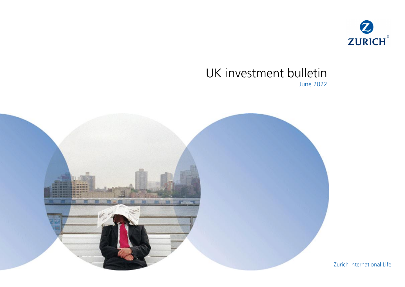

# UK investment bulletin June 2022



Zurich International Life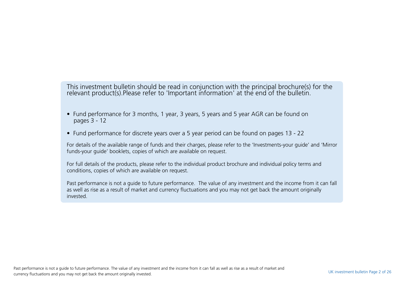This investment bulletin should be read in conjunction with the principal brochure(s) for the relevant product(s).Please refer to 'Important information' at the end of the bulletin.

- Fund performance for 3 months, 1 year, 3 years, 5 years and 5 year AGR can be found on pages 3 - 12
- Fund performance for discrete years over a 5 year period can be found on pages 13 22

For details of the available range of funds and their charges, please refer to the 'Investments-your guide' and 'Mirror funds-your guide' booklets, copies of which are available on request.

For full details of the products, please refer to the individual product brochure and individual policy terms and conditions, copies of which are available on request.

Past performance is not a guide to future performance. The value of any investment and the income from it can fall as well as rise as a result of market and currency fluctuations and you may not get back the amount originally invested.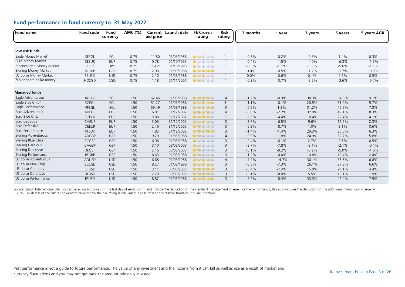| Fund name                      | <b>Fund code</b> | <b>Fund</b><br>currency | AMC (%) | bid price | Current Launch date | <b>FE Crown</b><br>rating            | <b>Risk</b><br>rating | 3 months | 1 year   | 3 years | 5 years | 5 years AGR |
|--------------------------------|------------------|-------------------------|---------|-----------|---------------------|--------------------------------------|-----------------------|----------|----------|---------|---------|-------------|
|                                |                  |                         |         |           |                     |                                      |                       |          |          |         |         |             |
| Low risk funds                 |                  |                         |         |           |                     |                                      |                       |          |          |         |         |             |
| Eagle Money Market             | SEEGL            | EGL                     | 0.75    | 11.80     | 01/03/1988          | <b>Man Market Yaty Adv</b>           | $1+$                  | $-0.3%$  | $-0.2%$  | $-9.5%$ | 1.4%    | 0.3%        |
| Euro Money Market              | <b>SEEUR</b>     | <b>EUR</b>              | 0.75    | 0.78      | 01/10/1995          | <b>Mary 12 ydy ydy</b>               | $\mathbf{1}$          | $-0.4%$  | $-1.5%$  | $-4.0%$ | $-6.3%$ | $-1.3%$     |
| Japanese yen Money Market      | <b>SEJPY</b>     | <b>JPY</b>              | 0.75    | 119.21    | 01/10/1995          | <b>May</b> ydy ydy ydy               | $\mathbf{1}$          | $-0.3%$  | $-1.1%$  | $-3.3%$ | $-5.6%$ | $-1.1%$     |
| <b>Sterling Money Market</b>   | <b>SEGBP</b>     | GBP                     | 0.75    | 2.90      | 01/03/1988          | <b>Management</b>                    | $\mathbf{1}$          | 0.0%     | $-0.5%$  | $-1.2%$ | $-1.7%$ | $-0.3%$     |
| US dollar Money Market         | SEUSD            | <b>USD</b>              | 0.75    | 2.10      | 01/03/1988          | <b>Mary Mary 11/11/11</b>            |                       | 0.0%     | $-0.6%$  | 0.1%    | 2.6%    | 0.5%        |
| ZI Singapore dollar money      | <b>HQSGD</b>     | SGD                     | 0.75    | 1.18      | 01/11/2007          | <b>Mary Market</b> Yuly Yuly         |                       | $-0.2%$  | $-0.7%$  | $-2.2%$ | $-3.6%$ | $-0.7%$     |
| <b>Managed funds</b>           |                  |                         |         |           |                     |                                      |                       |          |          |         |         |             |
| Eagle Adventurous <sup>1</sup> | ADEGL            | EGL                     | 1.50    | 62.46     | 01/03/1988          | <b>Management</b>                    | 4                     | $-1.2%$  | $-0.3%$  | 38.3%   | 54.8%   | 9.1%        |
| Eagle Blue Chip                | <b>BCEGL</b>     | EGL                     | 1.50    | 51.27     | 01/03/1988          | nda nda nda nda                      | $3-$                  | $-1.1%$  | $-0.1%$  | 20.5%   | 31.9%   | 5.7%        |
| Eagle Performance              | PFEGL            | EGL                     | 1.50    | 59.49     | 01/03/1988          | had you had your house               | 3                     | $-0.5%$  | 1.3%     | 31.2%   | 45.9%   | 7.8%        |
| Euro Adventurous               | <b>ADEUR</b>     | <b>EUR</b>              | 1.50    | 6.01      | 31/12/2002          | <b>Mary Mary Mary Mary</b>           | $\overline{4}$        | $-3.0%$  | $-2.2%$  | 37.9%   | 49.1%   | 8.3%        |
| Euro Blue Chip                 | <b>BCEUR</b>     | <b>EUR</b>              | 1.50    | 3.88      | 31/12/2002          | <b>Management</b>                    | $3-$                  | $-2.5%$  | $-4.4%$  | 18.4%   | 22.4%   | 4.1%        |
| Euro Cautious                  | <b>CAEUR</b>     | <b>EUR</b>              | 1.50    | 3.05      | 31/12/2002          | hadan hada hadan hadan kaliy         | 3                     | $-3.7%$  | $-6.5%$  | 9.6%    | 12.2%   | 2.3%        |
| Euro Defensive                 | <b>DEEUR</b>     | <b>EUR</b>              | 1.50    | 2.46      | 31/12/2002          | <b>Management</b>                    | 3                     | $-5.2%$  | $-8.7%$  | 1.0%    | 3.1%    | 0.6%        |
| Euro Performance               | <b>PFEUR</b>     | <b>EUR</b>              | 1.50    | 4.82      | 31/12/2002          | nda nda nda nda                      | 3                     | $-1.4%$  | $-1.4%$  | 29.3%   | 36.0%   | 6.3%        |
| Sterling Adventurous           | ADGBP            | GBP                     | 1.50    | 9.29      | 01/03/1988          | <b>Management</b>                    | $\overline{4}$        | $-0.9%$  | $-1.8%$  | 24.9%   | 32.7%   | 5.8%        |
| Sterling Blue Chip             | <b>BCGBP</b>     | GBP                     | 1.50    | 6.96      | 01/03/1988          | <mark>nda</mark> habi habi habi habi | 3                     | $-2.4%$  | $-6.1%$  | 2.7%    | 2.6%    | 0.5%        |
| <b>Sterling Cautious</b>       | CAGBP            | GBP                     | 1.50    | 3.10      | 03/03/2003          | <b>Mary Mar</b> Yaby Yaby            | 3                     | $-3.7%$  | $-7.8%$  | $-2.1%$ | $-2.1%$ | $-0.4%$     |
| <b>Sterling Defensive</b>      | <b>DEGBP</b>     | GBP                     | 1.50    | 2.46      | 03/03/2003          | <b>Management</b>                    | 3                     | $-5.1%$  | $-9.2%$  | $-5.9%$ | $-5.0%$ | $-1.0%$     |
| Sterling Performance           | PFGBP            | GBP                     | 1.50    | 8.63      | 01/03/1988          | <b>yddy yddy</b> yddy yddy           | 3                     | $-1.2%$  | $-4.0%$  | 10.8%   | 12.4%   | 2.4%        |
| US dollar Adventurous          | ADUSD            | <b>USD</b>              | 1.50    | 6.68      | 01/03/1988          | ndan ndan nda                        | $\overline{4}$        | $-7.2%$  | $-14.7%$ | 30.1%   | 38.6%   | 6.8%        |
| US dollar Blue Chip            | <b>BCUSD</b>     | <b>USD</b>              | 1.50    | 8.27      | 01/03/1988          | <b>Management</b>                    | 3                     | $-5.5%$  | $-7.3%$  | 26.1%   | 37.8%   | 6.6%        |
| <b>US dollar Cautious</b>      | <b>CTUSD</b>     | <b>USD</b>              | 1.50    | 3.11      | 03/03/2003          | haby had yaby haby                   | 3                     | $-5.4%$  | $-7.4%$  | 15.9%   | 24.1%   | 4.4%        |
| US dollar Defensive            | <b>DFUSD</b>     | <b>USD</b>              | 1.50    | 2.28      | 03/03/2003          | hadan hada hada hada                 | 3                     | $-5.1%$  | $-8.0%$  | 5.5%    | 10.1%   | 1.9%        |
| US dollar Performance          | PFUSD            | <b>USD</b>              | 1.50    | 8.87      | 01/03/1988          | <b>Management</b>                    | 3                     | $-5.7%$  | $-8.4%$  | 33.3%   | 46.4%   | 7.9%        |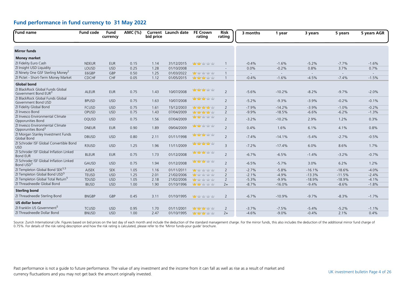| Fund name                                                            | <b>Fund code</b> | Fund<br>currency | AMC (%) | bid price | Current Launch date | <b>FE Crown</b><br>rating            | <b>Risk</b><br>rating | 3 months | 1 year   | 3 years  | 5 years  | 5 years AGR |
|----------------------------------------------------------------------|------------------|------------------|---------|-----------|---------------------|--------------------------------------|-----------------------|----------|----------|----------|----------|-------------|
|                                                                      |                  |                  |         |           |                     |                                      |                       |          |          |          |          |             |
| <b>Mirror funds</b>                                                  |                  |                  |         |           |                     |                                      |                       |          |          |          |          |             |
| <b>Money market</b>                                                  |                  |                  |         |           |                     |                                      |                       |          |          |          |          |             |
| ZI Fidelity Euro Cash                                                | <b>NDEUR</b>     | <b>EUR</b>       | 0.15    | 1.14      | 31/12/2015          | <b>Monday</b> of the Mary            | $\overline{1}$        | $-0.4%$  | $-1.6%$  | $-5.2%$  | $-7.7%$  | $-1.6%$     |
| ZI Insight USD Liquidity                                             | LOUSD            | <b>USD</b>       | 0.25    | 1.28      | 01/10/2008          |                                      | $\overline{a}$        | 0.0%     | $-0.2%$  | 0.8%     | 3.7%     | 0.7%        |
| ZI Ninety One GSF Sterling Money <sup>2</sup>                        | E6GBP            | GBP              | 0.50    | 1.25      | 01/03/2022          | <b>May to the start of the Start</b> | $\overline{1}$        | $\sim$   | $\sim$   | $\sim$   | $\sim$   | $\sim$      |
| ZI Pictet - Short-Term Money Market                                  | CDCHF            | CHF              | 0.05    | 1.12      | 01/05/2015          | <b>Mary Mary Mary Mary</b>           | $\overline{1}$        | $-0.4%$  | $-1.6%$  | $-4.5%$  | $-7.4%$  | $-1.5%$     |
| <b>Global bond</b>                                                   |                  |                  |         |           |                     |                                      |                       |          |          |          |          |             |
| ZI BlackRock Global Funds Global<br>Government Bond EUR <sup>3</sup> | <b>ALEUR</b>     | <b>EUR</b>       | 0.75    | 1.43      | 10/07/2008          | <b>Management</b>                    | $\overline{2}$        | $-5.6%$  | $-10.2%$ | $-8.2%$  | $-9.7%$  | $-2.0%$     |
| ZI BlackRock Global Funds Global<br>Government Bond USD              | <b>BPUSD</b>     | <b>USD</b>       | 0.75    | 1.63      | 10/07/2008          | <b>Mary Mary Mary Mary</b>           | $\overline{2}$        | $-5.2%$  | $-9.3%$  | $-3.9%$  | $-0.2%$  | $-0.1%$     |
| ZI Fidelity Global Bond                                              | <b>FCUSD</b>     | <b>USD</b>       | 0.75    | 1.61      | 15/12/2003          | ndan ndan nda                        | $\overline{2}$        | $-7.9%$  | $-14.2%$ | $-3.9%$  | $-1.0%$  | $-0.2%$     |
| ZI Invesco Bond                                                      | OPUSD            | <b>USD</b>       | 0.75    | 1.43      | 07/04/2009          | 查查查查查                                | $\overline{2}$        | $-9.9%$  | $-18.5%$ | $-6.6%$  | $-6.2%$  | $-1.3%$     |
| ZI Invesco Environmental Climate<br>Opporunities Bond                | OQUSD            | <b>USD</b>       | 0.75    | 1.56      | 07/04/2009          | <b>yddy ydd</b> y yddy yddy          | $\overline{2}$        | $-3.2%$  | $-10.2%$ | 2.9%     | 1.2%     | 0.3%        |
| ZI Invesco Environmental Climate<br>Opporunities Bond <sup>3</sup>   | <b>DNEUR</b>     | <b>EUR</b>       | 0.90    | 1.89      | 09/04/2009          | <mark>ndy ndy</mark> ndy ndy ndy     | $\overline{2}$        | 0.4%     | 1.6%     | 6.1%     | 4.1%     | 0.8%        |
| ZI Morgan Stanley Investment Funds<br>Global Bond                    | <b>DBUSD</b>     | <b>USD</b>       | 0.80    | 2.11      | 01/11/1998          | <b>Mary Mary Mary Mary</b>           | 2                     | $-7.4%$  | $-14.1%$ | $-5.4%$  | $-2.7%$  | $-0.5%$     |
| ZI Schroder ISF Global Convertible Bond<br><b>USD</b>                | R3USD            | <b>USD</b>       | 1.25    | 1.96      | 11/11/2009          | haday haday halay                    | $\overline{3}$        | $-7.2%$  | $-17.4%$ | 6.0%     | 8.6%     | 1.7%        |
| ZI Schroder ISF Global Inflation Linked<br><b>Bond EUR</b>           | <b>BLEUR</b>     | <b>EUR</b>       | 0.75    | 1.73      | 01/12/2008          | <b>vior vior vior vior</b>           | $\overline{2}$        | $-6.7%$  | $-6.5%$  | $-1.4%$  | $-3.2%$  | $-0.7%$     |
| ZI Schroder ISF Global Inflation Linked<br>Bond USD <sup>3</sup>     | GAUSD            | <b>USD</b>       | 0.75    | 1.94      | 01/12/2008          | <mark>nday nday h</mark> oby hoby    | $\overline{2}$        | $-6.5%$  | $-5.7%$  | 3.0%     | 6.2%     | 1.2%        |
| ZI Templeton Global Bond SEK <sup>3,5</sup>                          | <b>AJSEK</b>     | <b>SEK</b>       | 1.05    | 1.16      | 01/11/2011          | <mark>ndar</mark> hatiy hatiy hatiy  | $\overline{2}$        | $-2.7%$  | $-5.8%$  | $-16.1%$ | $-18.6%$ | $-4.0%$     |
| ZI Templeton Global Bond USD <sup>5</sup>                            | <b>TEUSD</b>     | <b>USD</b>       | 1.25    | 2.01      | 21/02/2006          | <mark>nda</mark> habi habi habi habi | $\overline{2}$        | $-2.1%$  | $-4.9%$  | $-13.3%$ | $-11.5%$ | $-2.4%$     |
| ZI Templeton Global Total Return <sup>5</sup>                        | <b>TDUSD</b>     | <b>USD</b>       | 1.05    | 2.18      | 21/02/2006          | <b>May</b> hair hair hair hair       | $\overline{2}$        | $-5.3%$  | $-9.9%$  | $-18.9%$ | $-18.9%$ | $-4.1%$     |
| ZI Threadneedle Global Bond                                          | <b>IBUSD</b>     | <b>USD</b>       | 1.00    | 1.90      | 01/10/1996          | <b>Many of your year</b>             | $2+$                  | $-8.7%$  | $-16.0%$ | $-9.4%$  | $-8.6%$  | $-1.8%$     |
| <b>Sterling bond</b>                                                 |                  |                  |         |           |                     |                                      |                       |          |          |          |          |             |
| ZI Threadneedle Sterling Bond                                        | <b>BNGBP</b>     | GBP              | 0.45    | 3.11      | 01/10/1995          | <b>YEV</b> YEV YEV YEV               | $\overline{2}$        | $-6.7%$  | $-10.9%$ | $-9.7%$  | $-8.3%$  | $-1.7%$     |
| <b>US dollar bond</b>                                                |                  |                  |         |           |                     |                                      |                       |          |          |          |          |             |
| ZI Franklin US Government <sup>5</sup>                               | <b>TCUSD</b>     | <b>USD</b>       | 0.95    | 1.70      | 01/11/2001          | <b>Management</b>                    | $\overline{2}$        | $-3.7%$  | $-7.5%$  | $-5.4%$  | $-5.2%$  | $-1.1%$     |
| ZI Threadneedle Dollar Bond                                          | <b>BNUSD</b>     | <b>USD</b>       | 1.00    | 2.47      | 01/10/1995          | <b>Management</b> of the National    | $2+$                  | $-4.6%$  | $-9.0%$  | $-0.4%$  | 2.1%     | 0.4%        |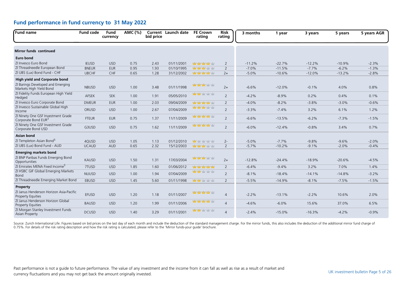| Fund name                                                             | <b>Fund code</b> | Fund<br>currency | AMC (%) | bid price | <b>Current</b> Launch date | <b>FE Crown</b><br>rating                  | Risk<br>rating | 3 months | 1 year   | 3 years  | 5 years  | 5 years AGR |
|-----------------------------------------------------------------------|------------------|------------------|---------|-----------|----------------------------|--------------------------------------------|----------------|----------|----------|----------|----------|-------------|
| <b>Mirror funds continued</b>                                         |                  |                  |         |           |                            |                                            |                |          |          |          |          |             |
| <b>Euro bond</b>                                                      |                  |                  |         |           |                            |                                            |                |          |          |          |          |             |
| ZI Invesco Euro Bond                                                  | <b>IEUSD</b>     | <b>USD</b>       | 0.75    | 2.43      | 01/11/2001                 | hadan hada hadan dagu dugu                 | 2              | $-11.2%$ | $-22.7%$ | $-12.2%$ | $-10.9%$ | $-2.3%$     |
| ZI Threadneedle European Bond                                         | <b>BNEUR</b>     | <b>EUR</b>       | 0.95    | 1.93      | 01/10/1995                 | <b>Management of the National Property</b> | 2              | $-7.0%$  | $-11.5%$ | $-7.7%$  | $-6.2%$  | $-1.3%$     |
| ZI UBS (Lux) Bond Fund - CHF                                          | <b>UBCHF</b>     | CHF              | 0.65    | 1.28      | 31/12/2002                 | <b>Management</b>                          | $2+$           | $-5.0%$  | $-10.6%$ | $-12.0%$ | $-13.2%$ | $-2.8%$     |
| <b>High yield and Corporate bond</b>                                  |                  |                  |         |           |                            |                                            |                |          |          |          |          |             |
| ZI Barings Developed and Emerging<br>Markets High Yield Bond          | <b>NBUSD</b>     | <b>USD</b>       | 1.00    | 3.48      | 01/11/1998                 | <b>Mary Mary Mary Mary</b>                 | $2+$           | $-6.6%$  | $-12.0%$ | $-0.1%$  | 4.0%     | 0.8%        |
| ZI Fidelity Funds European High Yield<br>Hedged                       | AFSEK            | <b>SEK</b>       | 1.00    | 1.91      | 05/05/2010                 | <b>ydy ydy</b> ydry ydry                   | 2              | $-4.2%$  | $-8.9%$  | 0.2%     | 0.4%     | 0.1%        |
| ZI Invesco Euro Corporate Bond                                        | <b>DMEUR</b>     | <b>EUR</b>       | 1.00    | 2.03      | 09/04/2009                 | <b>Mary Mary Mary Mary</b>                 | $\overline{2}$ | $-4.0%$  | $-8.2%$  | $-3.8%$  | $-3.0%$  | $-0.6%$     |
| ZI Invesco Sustainable Global High<br>Income                          | ORUSD            | <b>USD</b>       | 1.00    | 2.67      | 07/04/2009                 | <b>North Mar</b> Mar Mar                   | $\overline{2}$ | $-3.3%$  | $-7.4%$  | 3.2%     | 6.1%     | 1.2%        |
| ZI Ninety One GSF Investment Grade<br>Corporate Bond EUR <sup>3</sup> | <b>FTEUR</b>     | <b>EUR</b>       | 0.75    | 1.37      | 11/11/2009                 | <b>Management of the American</b>          | $\overline{2}$ | $-6.6%$  | $-13.5%$ | $-6.2%$  | $-7.3%$  | $-1.5%$     |
| ZI Ninety One GSF Investment Grade<br>Corporate Bond USD              | G3USD            | <b>USD</b>       | 0.75    | 1.62      | 11/11/2009                 | <b>Management</b>                          | $\overline{2}$ | $-6.0%$  | $-12.4%$ | $-0.8%$  | 3.4%     | 0.7%        |
| <b>Asian bond</b>                                                     |                  |                  |         |           |                            |                                            |                |          |          |          |          |             |
| ZI Templeton Asian Bond <sup>5</sup>                                  | 4QUSD            | <b>USD</b>       | 1.05    | 1.13      | 01/12/2010                 | <b>Mary 11/11/11/11/11</b>                 | $2 -$          | $-5.0%$  | $-7.7%$  | $-9.8%$  | $-9.6%$  | $-2.0%$     |
| ZI UBS (Lux) Bond Fund - AUD                                          | <b>UCAUD</b>     | <b>AUD</b>       | 0.65    | 2.32      | 15/12/2003                 | <b>Man Mar</b> Mar Mar                     | $\overline{2}$ | $-5.7%$  | $-10.2%$ | $-9.1%$  | $-2.0%$  | $-0.4%$     |
| <b>Emerging markets bond</b>                                          |                  |                  |         |           |                            |                                            |                |          |          |          |          |             |
| ZI BNP Paribas Funds Emerging Bond<br>Opportunities                   | <b>KAUSD</b>     | <b>USD</b>       | 1.50    | 1.31      | 17/03/2004                 | <b>Note Note Your Year</b>                 | $2+$           | $-12.8%$ | $-24.4%$ | $-18.9%$ | $-20.6%$ | $-4.5%$     |
| ZI Emirates MENA Fixed Income <sup>5</sup>                            | 7TUSD            | <b>USD</b>       | 1.85    | 1.60      | 01/06/2012                 | hadan hair hair hair                       | 2              | $-6.4%$  | $-9.4%$  | 3.2%     | 7.0%     | 1.4%        |
| ZI HSBC GIF Global Emerging Markets<br><b>Bond</b>                    | <b>NUUSD</b>     | <b>USD</b>       | 1.00    | 1.94      | 07/04/2009                 | <b>Mary Ma</b> ry Mary Mar                 | $\overline{2}$ | $-8.1%$  | $-18.4%$ | $-14.1%$ | $-14.8%$ | $-3.2%$     |
| ZI Threadneedle Emerging Market Bond                                  | <b>EBUSD</b>     | <b>USD</b>       | 1.45    | 5.60      | 01/11/1998                 | 查查查查查                                      | $\overline{2}$ | $-5.5%$  | $-14.9%$ | $-8.1%$  | $-7.5%$  | $-1.5%$     |
| Property                                                              |                  |                  |         |           |                            |                                            |                |          |          |          |          |             |
| ZI Janus Henderson Horizon Asia-Pacific<br><b>Property Equities</b>   | <b>EFUSD</b>     | <b>USD</b>       | 1.20    | 1.18      | 01/11/2007                 | <b>Management of the American</b>          | $\overline{4}$ | $-2.2%$  | $-13.1%$ | $-2.2%$  | 10.6%    | 2.0%        |
| ZI Janus Henderson Horizon Global<br><b>Property Equities</b>         | <b>BAUSD</b>     | <b>USD</b>       | 1.20    | 1.99      | 01/11/2006                 | <b>Management</b>                          | $\overline{4}$ | $-4.6%$  | $-6.0%$  | 15.6%    | 37.0%    | 6.5%        |
| ZI Morgan Stanley Investment Funds<br>Asian Property                  | <b>DCUSD</b>     | <b>USD</b>       | 1.40    | 3.29      | 01/11/2001                 | <b>Management</b>                          | $\overline{4}$ | $-2.4%$  | $-15.0%$ | $-16.3%$ | $-4.2%$  | $-0.9%$     |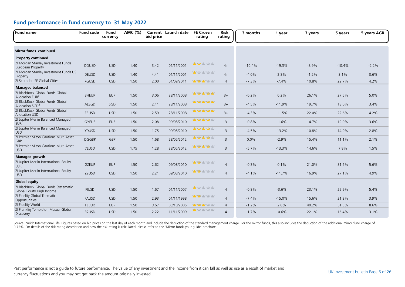| <b>Fund name</b>                                                  | <b>Fund code</b>  | Fund<br>currency | AMC (%) | bid price | <b>Current</b> Launch date | <b>FE Crown</b><br>rating  | Risk<br>rating | 3 months | 1 year   | 3 years | 5 years  | 5 years AGR |
|-------------------------------------------------------------------|-------------------|------------------|---------|-----------|----------------------------|----------------------------|----------------|----------|----------|---------|----------|-------------|
|                                                                   |                   |                  |         |           |                            |                            |                |          |          |         |          |             |
| <b>Mirror funds continued</b>                                     |                   |                  |         |           |                            |                            |                |          |          |         |          |             |
| <b>Property continued</b>                                         |                   |                  |         |           |                            |                            |                |          |          |         |          |             |
| ZI Morgan Stanley Investment Funds<br>European Property           | <b>DDUSD</b>      | <b>USD</b>       | 1.40    | 3.42      | 01/11/2001                 | <b>vity vity</b> vity vity | $4+$           | $-10.4%$ | $-19.3%$ | $-8.9%$ | $-10.4%$ | $-2.2%$     |
| ZI Morgan Stanley Investment Funds US<br>Property                 | <b>DEUSD</b>      | <b>USD</b>       | 1.40    | 4.41      | 01/11/2001                 | <b>Mar</b> yaby yaby yaby  | $4+$           | $-4.0%$  | 2.8%     | $-1.2%$ | 3.1%     | 0.6%        |
| ZI Schroder ISF Global Cities                                     | 7GUSD             | <b>USD</b>       | 1.50    | 2.00      | 01/09/2011                 | <b>ydy ydy</b> ydy ydy     | $\overline{4}$ | $-7.3%$  | $-7.4%$  | 10.8%   | 22.7%    | 4.2%        |
| <b>Managed balanced</b>                                           |                   |                  |         |           |                            |                            |                |          |          |         |          |             |
| ZI BlackRock Global Funds Global<br>Allocation EUR <sup>3</sup>   | <b>BHEUR</b>      | <b>EUR</b>       | 1.50    | 3.06      | 28/11/2008                 | ਬਾਦਾ ਬਾਬਾ                  | $3+$           | $-0.2%$  | 0.2%     | 26.1%   | 27.5%    | 5.0%        |
| ZI BlackRock Global Funds Global<br>Allocation SGD <sup>3</sup>   | ALSGD             | SGD              | 1.50    | 2.41      | 28/11/2008                 | <b>WWWWW</b>               | $3+$           | $-4.5%$  | $-11.9%$ | 19.7%   | 18.0%    | 3.4%        |
| ZI BlackRock Global Funds Global<br>Allocation USD                | <b>ERUSD</b>      | <b>USD</b>       | 1.50    | 2.59      | 28/11/2008                 | 雪中中中                       | $3+$           | $-4.3%$  | $-11.5%$ | 22.0%   | 22.6%    | 4.2%        |
| ZI Jupiter Merlin Balanced Managed<br><b>EUR</b>                  | <b>GYEUR</b>      | <b>EUR</b>       | 1.50    | 2.08      | 09/08/2010                 | 中中中中市                      | $\overline{3}$ | $-0.8%$  | $-1.6%$  | 14.7%   | 19.0%    | 3.6%        |
| ZI Jupiter Merlin Balanced Managed<br><b>USD</b>                  | Y9USD             | <b>USD</b>       | 1.50    | 1.75      | 09/08/2010                 | <b>Management</b>          | 3              | $-4.5%$  | $-13.2%$ | 10.8%   | 14.9%    | 2.8%        |
| ZI Premier Miton Cautious Multi Asset<br>GBP                      | <b>DGGBP</b>      | GBP              | 1.50    | 1.68      | 28/05/2012                 | 中中中中                       | $\overline{3}$ | 0.0%     | $-2.9%$  | 15.4%   | 11.1%    | 2.1%        |
| ZI Premier Miton Cautious Multi Asset<br><b>USD</b>               | 7LUSD             | <b>USD</b>       | 1.75    | 1.28      | 28/05/2012                 | habitan'i party nativ      | $\overline{3}$ | $-5.7%$  | $-13.3%$ | 14.6%   | 7.8%     | 1.5%        |
| <b>Managed growth</b>                                             |                   |                  |         |           |                            |                            |                |          |          |         |          |             |
| ZI Jupiter Merlin International Equity<br><b>EUR</b>              | <b>GZEUR</b>      | <b>EUR</b>       | 1.50    | 2.62      | 09/08/2010                 | <b>vity vity</b> vity vity | $\overline{4}$ | $-0.3%$  | 0.1%     | 21.0%   | 31.6%    | 5.6%        |
| ZI Jupiter Merlin International Equity<br><b>USD</b>              | Z9USD             | <b>USD</b>       | 1.50    | 2.21      | 09/08/2010                 | <b>uty uty</b> y ty y ty   | $\overline{4}$ | $-4.1%$  | $-11.7%$ | 16.9%   | 27.1%    | 4.9%        |
| <b>Global equity</b>                                              |                   |                  |         |           |                            |                            |                |          |          |         |          |             |
| ZI BlackRock Global Funds Systematic<br>Global Equity High Income | <b>FIUSD</b>      | <b>USD</b>       | 1.50    | 1.67      | 01/11/2007                 | <b>Mar</b> y to ythy ythy  | $\overline{4}$ | $-0.8%$  | $-3.6%$  | 23.1%   | 29.9%    | 5.4%        |
| ZI Fidelity Global Thematic<br>Opportunities                      | <b>FAUSD</b>      | <b>USD</b>       | 1.50    | 2.93      | 01/11/1998                 | <b>ydy ydy</b> ydy ydy     | $\overline{4}$ | $-7.4%$  | $-15.0%$ | 15.6%   | 21.2%    | 3.9%        |
| ZI Fidelity World                                                 | <b>FEEUR</b>      | <b>EUR</b>       | 1.50    | 3.67      | 03/10/2005                 | <b>Yang Yang Yang Yang</b> | $\overline{4}$ | $-1.2%$  | 2.8%     | 40.2%   | 51.3%    | 8.6%        |
| ZI Franklin Templeton Mutual Global<br>Discovery <sup>5</sup>     | R <sub>2USD</sub> | <b>USD</b>       | 1.50    | 2.22      | 11/11/2009                 | <b>ydy</b> ydy ydy ydy     | $\overline{4}$ | $-1.7%$  | $-0.6%$  | 22.1%   | 16.4%    | 3.1%        |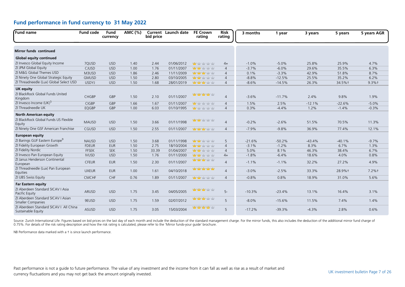| <b>Fund name</b>                                                      | <b>Fund code</b> | Fund<br>currency | AMC (%) | bid price | <b>Current</b> Launch date | <b>FE Crown</b><br>rating                                                                                                | Risk<br>rating | 3 months | 1 year   | 3 years  | 5 years  | 5 years AGR |
|-----------------------------------------------------------------------|------------------|------------------|---------|-----------|----------------------------|--------------------------------------------------------------------------------------------------------------------------|----------------|----------|----------|----------|----------|-------------|
| Mirror funds continued                                                |                  |                  |         |           |                            |                                                                                                                          |                |          |          |          |          |             |
| <b>Global equity continued</b>                                        |                  |                  |         |           |                            |                                                                                                                          |                |          |          |          |          |             |
| ZI Invesco Global Equity Income                                       | 7QUSD            | <b>USD</b>       | 1.40    | 2.44      | 01/06/2012                 | <b>Mar</b> yaby yaby yaby                                                                                                | $4+$           | $-1.0%$  | $-5.0%$  | 25.8%    | 25.9%    | 4.7%        |
| ZI JPM Global Equity                                                  | CJUSD            | <b>USD</b>       | 1.00    | 1.76      | 01/11/2007                 | <b>Mary Ma</b> ry Mary Mar                                                                                               | $\overline{4}$ | $-3.7%$  | $-6.0%$  | 29.6%    | 35.5%    | 6.3%        |
| ZI M&G Global Themes USD                                              | M3USD            | <b>USD</b>       | 1.86    | 2.46      | 11/11/2009                 | <b>Management</b>                                                                                                        | $\overline{4}$ | 0.1%     | $-3.3%$  | 42.9%    | 51.8%    | 8.7%        |
| ZI Ninety One Global Strategic Equity                                 | <b>GMUSD</b>     | <b>USD</b>       | 1.50    | 2.80      | 03/10/2005                 | <b>ydy ydy</b> ydy ydy                                                                                                   | $\overline{4}$ | $-8.8%$  | $-12.5%$ | 25.5%    | 35.2%    | 6.2%        |
| ZI Threadneedle (Lux) Global Select USD                               | <b>USDYJ</b>     | <b>USD</b>       | 1.50    | 1.68      | 28/01/2019                 | <b>Management</b>                                                                                                        | $\overline{4}$ | $-8.6%$  | $-14.5%$ | 26.3%    | 34.5%+   | $9.3%$ †    |
| <b>UK equity</b>                                                      |                  |                  |         |           |                            |                                                                                                                          |                |          |          |          |          |             |
| ZI BlackRock Global Funds United<br>Kingdom                           | CHGBP            | GBP              | 1.50    | 2.10      | 01/11/2007                 | <b>Management of the Advancement of the Advancement of the Advancement of the Advancement of the Advancement of the </b> | $\overline{4}$ | $-3.6%$  | $-11.7%$ | 2.4%     | 9.8%     | 1.9%        |
| ZI Invesco Income (UK) <sup>5</sup>                                   | <b>CIGBP</b>     | GBP              | 1.66    | 1.67      | 01/11/2007                 | <b>ydy</b> ydy ydy ydy                                                                                                   | $\overline{4}$ | 1.5%     | 2.5%     | $-12.1%$ | $-22.6%$ | $-5.0%$     |
| ZI Threadneedle UK                                                    | EQGBP            | GBP              | 1.00    | 6.03      | 01/10/1995                 | <b>Mar</b> Yatvi Yatvi Yatv                                                                                              | $\overline{4}$ | 0.3%     | $-4.4%$  | 1.2%     | $-1.4%$  | $-0.3%$     |
| <b>North American equity</b><br>ZI BlackRock Global Funds US Flexible |                  |                  |         |           |                            | <b>Mary Mar</b> Yaty Yaty                                                                                                |                |          |          |          |          |             |
| Equity                                                                | <b>MAUSD</b>     | <b>USD</b>       | 1.50    | 3.66      | 01/11/1998                 |                                                                                                                          | $\overline{4}$ | $-0.2%$  | $-2.6%$  | 51.5%    | 70.5%    | 11.3%       |
| ZI Ninety One GSF American Franchise                                  | CGUSD            | <b>USD</b>       | 1.50    | 2.55      | 01/11/2007                 | <b>Management</b>                                                                                                        | $\overline{4}$ | $-7.9%$  | $-9.8%$  | 36.9%    | 77.4%    | 12.1%       |
| <b>European equity</b>                                                |                  |                  |         |           |                            |                                                                                                                          |                |          |          |          |          |             |
| ZI Barings GUF Eastern Europe <sup>9</sup>                            | <b>NAUSD</b>     | <b>USD</b>       | 1.50    | 3.68      | 01/11/1998                 | <b>Management</b> of the National                                                                                        | 5              | $-21.6%$ | $-50.2%$ | $-43.4%$ | $-40.1%$ | $-9.7%$     |
| ZI Fidelity European Growth                                           | <b>FDEUR</b>     | <b>EUR</b>       | 1.50    | 2.75      | 18/10/2004                 | <b>viby viby</b> viby viby                                                                                               | $\overline{4}$ | $-3.1%$  | $-1.2%$  | 8.3%     | 6.7%     | 1.3%        |
| ZI Fidelity Nordic                                                    | <b>FFSEK</b>     | <b>SEK</b>       | 1.50    | 33.39     | 01/04/2007                 | <b>Yangi yai</b> y yaiy yaiy                                                                                             | $\overline{4}$ | 5.0%     | 8.1%     | 46.3%    | 38.4%    | 6.7%        |
| ZI Invesco Pan European Equity                                        | <b>IVUSD</b>     | <b>USD</b>       | 1.50    | 1.76      | 01/11/2000                 | <b>Mary Market Yelly Mark</b>                                                                                            | $4+$           | $-1.8%$  | $-6.4%$  | 18.6%    | 4.0%     | 0.8%        |
| ZI Janus Henderson Continental<br>European                            | <b>CFEUR</b>     | <b>EUR</b>       | 1.50    | 2.30      | 01/11/2007                 | <b>ydy ydy</b> ydy ydy                                                                                                   | $\overline{4}$ | $-1.1%$  | $-1.1%$  | 32.2%    | 27.2%    | 4.9%        |
| ZI Threadneedle (Lux) Pan European<br>Equities                        | <b>UXEUR</b>     | <b>EUR</b>       | 1.00    | 1.61      | 04/10/2018                 | nday nday nday nday                                                                                                      | $\overline{4}$ | $-3.0%$  | $-2.5%$  | 33.3%    | 28.9%+   | $7.2%$ †    |
| ZI UBS Swiss Equity                                                   | CMCHF            | CHF              | 0.76    | 1.89      | 01/11/2007                 | <b>vity vity</b> vity vity                                                                                               | $\overline{4}$ | $-0.8%$  | 0.8%     | 18.9%    | 31.0%    | 5.6%        |
| <b>Far Eastern equity</b>                                             |                  |                  |         |           |                            |                                                                                                                          |                |          |          |          |          |             |
| ZI Aberdeen Standard SICAV I Asia<br>Pacific Equity                   | ARUSD            | <b>USD</b>       | 1.75    | 3.45      | 04/05/2005                 | hadan hari hadi yatır                                                                                                    | $5-$           | $-10.3%$ | $-23.4%$ | 13.1%    | 16.4%    | 3.1%        |
| ZI Aberdeen Standard SICAV I Asian<br><b>Smaller Companies</b>        | 9EUSD            | <b>USD</b>       | 1.75    | 1.59      | 02/07/2012                 | <b>Mary Mary Mary Mary</b>                                                                                               | 5              | $-8.0%$  | $-15.6%$ | 11.5%    | 7.4%     | 1.4%        |
| ZI Aberdeen Standard SICAV I All China<br>Sustainable Equity          | ASUSD            | <b>USD</b>       | 1.75    | 3.05      | 15/03/2004                 | 查查查查                                                                                                                     | 5              | $-17.2%$ | $-39.3%$ | $-4.3%$  | 2.8%     | 0.6%        |

Source: Zurich International Life. Figures based on bid prices on the last day of each month and include the deduction of the standard management charge. For the mirror funds, this also includes the deduction of the additi 0.75%. For details of the risk rating description and how the risk rating is calculated, please refer to the 'Mirror funds-your guide' brochure.

NB Performance data marked with a t is since launch performance.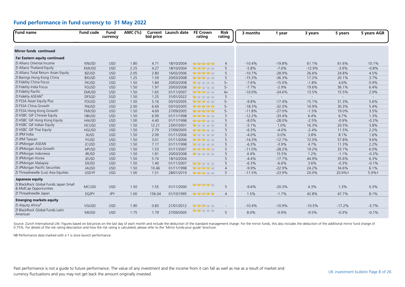| Fund name                                                       | <b>Fund code</b> | Fund<br>currency | AMC (%) | bid price | Current Launch date | <b>FE Crown</b><br>rating                                                                                      | <b>Risk</b><br>rating | 3 months | 1 year   | 3 years  | 5 years                  | 5 years AGR |
|-----------------------------------------------------------------|------------------|------------------|---------|-----------|---------------------|----------------------------------------------------------------------------------------------------------------|-----------------------|----------|----------|----------|--------------------------|-------------|
| <b>Mirror funds continued</b>                                   |                  |                  |         |           |                     |                                                                                                                |                       |          |          |          |                          |             |
| Far Eastern equity continued                                    |                  |                  |         |           |                     |                                                                                                                |                       |          |          |          |                          |             |
| ZI Allianz Oriental Income                                      | <b>KNUSD</b>     | <b>USD</b>       | 1.80    | 4.71      | 18/10/2004          | halang halam halam halam halam halam halam halam halam halam halam halam halam halam halam halam halam halam h | $\overline{4}$        | $-10.4%$ | $-19.8%$ | 61.1%    | 61.6%                    | 10.1%       |
| ZI Allianz Thailand Equity                                      | <b>KMUSD</b>     | <b>USD</b>       | 2.25    | 4.27      | 18/10/2004          | <b>Management</b>                                                                                              | 5                     | $-5.8%$  | $-7.6%$  | $-12.9%$ | $-3.9%$                  | $-0.8%$     |
| ZI Allianz Total Return Asian Equity                            | <b>BZUSD</b>     | <b>USD</b>       | 2.05    | 2.80      | 16/02/2006          | 查查查查                                                                                                           | 5                     | $-10.7%$ | $-28.9%$ | 26.6%    | 24.8%                    | 4.5%        |
| ZI Barings Hong Kong China                                      | <b>BXUSD</b>     | <b>USD</b>       | 1.25    | 1.59      | 20/03/2008          | <b>yddy yddy</b> yddy yddy                                                                                     | 5                     | $-15.3%$ | $-36.3%$ | 17.2%    | 20.1%                    | 3.7%        |
| ZI Fidelity China Focus                                         | <b>FKUSD</b>     | <b>USD</b>       | 1.50    | 1.84      | 20/03/2008          | <b>Mar</b> Yahy Yahy Yahy                                                                                      | $5-$                  | $-7.6%$  | $-15.0%$ | $-1.8%$  | 4.6%                     | 0.9%        |
| ZI Fidelity India Focus                                         | <b>FGUSD</b>     | <b>USD</b>       | 1.50    | 1.97      | 20/03/2008          | wwww                                                                                                           | $5-$                  | $-7.7%$  | $-2.9%$  | 19.6%    | 36.1%                    | 6.4%        |
| ZI Fidelity Pacific                                             | <b>EMUSD</b>     | <b>USD</b>       | 1.50    | 1.65      | 01/11/2007          | <b>North Ma</b> rk Mar                                                                                         | $4+$                  | $-10.0%$ | $-24.6%$ | 13.5%    | 15.5%                    | 2.9%        |
| ZI Fidelity ASEAN <sup>Z</sup>                                  | <b>DFSGD</b>     | SGD              | 1.50    | 1.25      | 31/01/2022          | <b>Mary the right year</b>                                                                                     | 5                     | $\sim$   | $\sim$   | $\sim$   | $\overline{\phantom{a}}$ | $\sim$      |
| ZI FSSA Asian Equity Plus                                       | <b>FOUSD</b>     | <b>USD</b>       | 1.50    | 5.16      | 03/10/2005          | <b>Management</b>                                                                                              | $5-$                  | $-9.8%$  | $-17.4%$ | 15.1%    | 31.3%                    | 5.6%        |
| ZI FSSA China Growth                                            | <b>FNUSD</b>     | <b>USD</b>       | 2.00    | 6.69      | 03/10/2005          | <b>Management</b>                                                                                              | $5-$                  | $-18.3%$ | $-32.0%$ | 10.9%    | 30.3%                    | 5.4%        |
| ZI FSSA Hong Kong Growth                                        | <b>FMUSD</b>     | <b>USD</b>       | 1.50    | 4.69      | 27/09/2005          | habitat patriotic habitat                                                                                      | $5-$                  | $-11.8%$ | $-27.0%$ | $-1.5%$  | 19.0%                    | 3.5%        |
| ZI HSBC GIF Chinese Equity                                      | <b>HBUSD</b>     | <b>USD</b>       | 1.50    | 6.99      | 01/11/1998          | <b>Management</b>                                                                                              | 5                     | $-12.2%$ | $-33.4%$ | 6.4%     | 6.7%                     | 1.3%        |
| ZI HSBC GIF Hong Kong Equity                                    | <b>HAUSD</b>     | <b>USD</b>       | 1.00    | 4.40      | 01/11/1998          | <b>Management</b>                                                                                              | 5                     | $-8.0%$  | $-28.0%$ | $-2.5%$  | $-0.9%$                  | $-0.2%$     |
| ZI HSBC GIF Indian Equity                                       | <b>HCUSD</b>     | <b>USD</b>       | 1.50    | 12.21     | 23/07/2001          | <b>Mar</b> Yaty Yaty Yaty                                                                                      | 5                     | $-5.1%$  | 1.0%     | 16.3%    | 20.5%                    | 3.8%        |
| ZI HSBC GIF Thai Equity                                         | <b>HGUSD</b>     | <b>USD</b>       | 1.50    | 2.79      | 27/09/2005          | <b>Management</b>                                                                                              | 5                     | $-6.3%$  | $-4.0%$  | $-2.4%$  | 11.5%                    | 2.2%        |
| ZI JPM India                                                    | <b>JIUSD</b>     | <b>USD</b>       | 1.50    | 2.09      | 01/11/2006          | <b>Ma</b> y day day day                                                                                        | 5                     | $-4.0%$  | 0.0%     | 3.8%     | 8.1%                     | 1.6%        |
| ZI JPM Taiwan                                                   | <b>IYUSD</b>     | <b>USD</b>       | 1.50    | 3.01      | 01/11/2006          | <b>Management</b>                                                                                              | 5                     | $-14.3%$ | $-12.7%$ | 72.0%    | 57.8%                    | 9.6%        |
| ZI JPMorgan ASEAN                                               | <b>JCUSD</b>     | <b>USD</b>       | 1.50    | 7.17      | 01/11/1998          | <b>Mar</b> Yahy Yahy Yahy                                                                                      | 5                     | $-6.3%$  | $-3.9%$  | 4.7%     | 11.3%                    | 2.2%        |
| ZI JPMorgan Asia Growth                                         | <b>APUSD</b>     | <b>USD</b>       | 1.50    | 1.53      | 01/11/2007          | haby haby haby his                                                                                             | 5                     | $-11.0%$ | $-28.2%$ | 19.2%    | 33.7%                    | 6.0%        |
| ZI JPMorgan Indonesia                                           | <b>JRUSD</b>     | <b>USD</b>       | 1.50    | 1.81      | 20/03/2008          | ₩±r±r±r±                                                                                                       | 5                     | 4.4%     | 15.5%    | 1.2%     | $-1.1%$                  | $-0.2%$     |
| ZI JPMorgan Korea                                               | <b>JEUSD</b>     | <b>USD</b>       | 1.50    | 5.74      | 18/10/2004          |                                                                                                                | 5                     | $-4.4%$  | $-17.7%$ | 44.9%    | 35.6%                    | 6.3%        |
| ZI JPMorgan Malaysia                                            | <b>DIUSD</b>     | <b>USD</b>       | 1.50    | 1.40      | 01/11/2007          | <b>Mary Mary Mary Mary Mary</b>                                                                                | 5                     | $-6.3%$  | $-6.6%$  | 3.6%     | $-0.3%$                  | $-0.1%$     |
| ZI JPMorgan Pacific Securities                                  | <b>JAUSD</b>     | <b>USD</b>       | 1.50    | 10.46     | 01/11/1998          | hatiy hatiy hatiy miy                                                                                          | $\overline{4}$        | $-9.9%$  | $-22.9%$ | 24.2%    | 34.6%                    | 6.1%        |
| ZI Threadneedle (Lux) Asia Equities                             | <b>USDYF</b>     | <b>USD</b>       | 1.00    | 1.51      | 28/01/2019          | <b>what will you you</b>                                                                                       | 5                     | $-11.5%$ | $-23.9%$ | 20.0%    | 20.9%+                   | 5.9%+       |
| Japanese equity                                                 |                  |                  |         |           |                     |                                                                                                                |                       |          |          |          |                          |             |
| ZI BlackRock Global Funds Japan Small<br>& MidCap Opportunities | <b>MCUSD</b>     | <b>USD</b>       | 1.50    | 1.55      | 01/11/2000          | 查查查查                                                                                                           | 5                     | $-9.6%$  | $-20.3%$ | 4.3%     | 1.3%                     | 0.3%        |
| ZI Threadneedle Japan                                           | <b>EQJPY</b>     | <b>JPY</b>       | 1.00    | 156.04    | 01/10/1995          | <b>Management</b>                                                                                              | $\overline{4}$        | 1.5%     | $-1.7%$  | 42.8%    | 47.7%                    | 8.1%        |
| <b>Emerging markets equity</b>                                  |                  |                  |         |           |                     |                                                                                                                |                       |          |          |          |                          |             |
| ZI Alquity Africa <sup>4</sup>                                  | VGUSD            | <b>USD</b>       | 1.90    | 0.83      | 21/01/2012          | <b>THE TABLE TO THE TABLE</b>                                                                                  | $\sim$                | $-10.4%$ | $-10.9%$ | $-10.5%$ | $-17.2%$                 | $-3.7%$     |
| ZI BlackRock Global Funds Latin<br>American                     | <b>MIUSD</b>     | <b>USD</b>       | 1.75    | 1.79      | 27/09/2005          | <mark>nday nday hatiy hatiy</mark>                                                                             | 5                     | 8.0%     | $-0.9%$  | $-9.5%$  | $-0.3%$                  | $-0.1%$     |

Source: Zurich International Life. Figures based on bid prices on the last day of each month and include the deduction of the standard management charge. For the mirror funds, this also includes the deduction of the additi

NB Performance data marked with a † is since launch performance.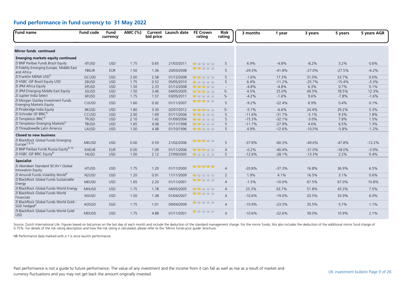| <b>Fund name</b>                                                     | <b>Fund code</b>               | Fund<br>currency | AMC (%) | bid price | Current Launch date | <b>FE Crown</b><br>rating            | <b>Risk</b><br>rating | 3 months | 1 year   | 3 years  | 5 years  | 5 years AGR |
|----------------------------------------------------------------------|--------------------------------|------------------|---------|-----------|---------------------|--------------------------------------|-----------------------|----------|----------|----------|----------|-------------|
| <b>Mirror funds continued</b>                                        |                                |                  |         |           |                     |                                      |                       |          |          |          |          |             |
| Emerging markets equity continued                                    |                                |                  |         |           |                     |                                      |                       |          |          |          |          |             |
| ZI BNP Paribas Funds Brazil Equity                                   | 4TUSD                          | <b>USD</b>       | 1.75    | 0.65      | 21/03/2011          | <b>Mar</b> yaby yaby yaby            | 5                     | 6.9%     | $-4.8%$  | $-8.2%$  | 3.2%     | 0.6%        |
| ZI Fidelity Emerging Europe, Middle East<br>and Africa               | <b>FBEUR</b>                   | <b>EUR</b>       | 1.50    | 1.36      | 20/03/2008          | <mark>ndar hala</mark> r halar halar | 5                     | $-29.3%$ | $-41.8%$ | $-27.0%$ | $-27.5%$ | $-6.2%$     |
| ZI Franklin MENA USD <sup>5</sup>                                    | GCUSD                          | <b>USD</b>       | 2.00    | 2.58      | 01/12/2008          | 查查查查                                 | 5                     | $-1.6%$  | 17.3%    | 31.0%    | 53.7%    | 9.0%        |
| ZI HSBC GIF Brazil Equity USD                                        | Z6USD                          | <b>USD</b>       | 1.75    | 0.52      | 05/05/2010          | <b>Mar</b> Yahy Yahy Yahy            | 5                     | 6.4%     | $-11.2%$ | $-25.7%$ | $-15.4%$ | $-3.3%$     |
| ZI JPM Africa Equity                                                 | EPUSD                          | <b>USD</b>       | 1.50    | 2.33      | 01/12/2008          | <b>Mary Mary Mary Mary</b>           | $\sim$                | $-4.8%$  | $-4.8%$  | 6.3%     | 0.7%     | 0.1%        |
| ZI JPM Emerging Middle East Equity                                   | <b>JGUSD</b>                   | <b>USD</b>       | 1.50    | 3.46      | 04/05/2005          | <b>Management</b>                    | $5-$                  | 4.5%     | 25.0%    | 49.5%    | 78.5%    | 12.3%       |
| ZI Jupiter India Select                                              | 6FUSD                          | <b>USD</b>       | 1.75    | 1.57      | 03/05/2011          | <b>Many of your year</b>             | $5-$                  | $-4.2%$  | $-1.6%$  | 9.6%     | $-7.8%$  | $-1.6%$     |
| ZI Morgan Stanley Investment Funds<br><b>Emerging Markets Equity</b> | CUUSD                          | <b>USD</b>       | 1.60    | 0.92      | 01/11/2007          | <b>oby oby</b> oby oby               | 5                     | $-9.2%$  | $-22.4%$ | 6.9%     | 0.4%     | 0.1%        |
| ZI Pinebridge India Equity                                           | 9KUSD                          | <b>USD</b>       | 1.80    | 3.30      | 02/07/2012          | <mark>ndan ndan</mark> halam hala    | $5-$                  | $-5.7%$  | $-6.6%$  | 24.4%    | 29.2%    | 5.3%        |
| ZI Schroder ISF BRIC <sup>5</sup>                                    | CCUSD                          | <b>USD</b>       | 2.00    | 1.69      | 01/11/2006          | <b>WWWWW</b>                         | 5                     | $-11.6%$ | $-31.7%$ | $-5.1%$  | 9.3%     | 1.8%        |
| ZI Templeton BRIC <sup>5</sup>                                       | <b>TFUSD</b>                   | <b>USD</b>       | 2.10    | 1.42      | 01/09/2006          | www.ww                               | 5                     | $-15.3%$ | $-32.1%$ | $-3.0%$  | 7.8%     | 1.5%        |
| ZI Templeton Emerging Markets <sup>5</sup>                           | <b>TBUSD</b>                   | <b>USD</b>       | 1.65    | 4.08      | 01/11/1998          | <b>Management</b> of the National    | 5                     | $-11.7%$ | $-27.9%$ | 4.6%     | 6.5%     | 1.3%        |
| ZI Threadneedle Latin America                                        | LAUSD                          | <b>USD</b>       | 1.00    | 4.48      | 01/10/1996          | <b>yddy yddy</b> yddy yddy           | 5                     | 4.9%     | $-12.6%$ | $-10.5%$ | $-5.8%$  | $-1.2%$     |
| <b>Closed to new business</b>                                        |                                |                  |         |           |                     |                                      |                       |          |          |          |          |             |
| ZI BlackRock Global Funds Emerging<br>Europe <sup>7,9,10</sup>       | <b>MKUSD</b>                   | <b>USD</b>       | 0.00    | 0.59      | 21/02/2006          | <b>Yang Yang Yang Yang</b>           | 5                     | $-37.8%$ | $-60.3%$ | $-49.6%$ | $-47.8%$ | $-12.2%$    |
| ZI BNP Paribas Funds Russia Equity <sup>9,10</sup>                   | <b>KHEUR</b>                   | <b>EUR</b>       | 0.00    | 1.09      | 01/11/2006          | <b>Mary Mar</b> y Mary Mary          | $\overline{4}$        | $-0.2%$  | $-40.4%$ | $-31.0%$ | $-18.0%$ | $-3.9%$     |
| ZI HSBC GIF BRIC Equity <sup>8</sup>                                 | <b>HIUSD</b>                   | <b>USD</b>       | 1.00    | 2.12      | 27/09/2005          | <b>Ma</b> y day day day              | 5                     | $-12.6%$ | $-28.1%$ | $-13.3%$ | 2.2%     | 0.4%        |
| <b>Specialist</b>                                                    |                                |                  |         |           |                     |                                      |                       |          |          |          |          |             |
| ZI Aberdeen Standard SICAV I Global<br>Innovation Equity             | <b>ATUSD</b>                   | <b>USD</b>       | 1.75    | 1.20      | 01/11/2000          | hair hair hair hair                  | $\overline{4}$        | $-20.8%$ | $-37.3%$ | 16.8%    | 36.9%    | 6.5%        |
| ZI Amundi Funds Volatility World <sup>4</sup>                        | N <sub>2</sub> U <sub>SD</sub> | <b>USD</b>       | 1.20    | 0.91      | 11/11/2009          | <b>ydy</b> ydy ydy ydy               | 2                     | 1.9%     | 4.1%     | 16.5%    | 3.1%     | 0.6%        |
| ZI BlackRock Global Funds Sustainable<br>Energy                      | <b>MEUSD</b>                   | <b>USD</b>       | 1.65    | 2.20      | 01/11/2001          | <b>Mary of y</b> the stay            | $\overline{4}$        | $-1.5%$  | $-10.0%$ | 67.5%    | 67.0%    | 10.8%       |
| ZI BlackRock Global Funds World Energy                               | <b>MHUSD</b>                   | <b>USD</b>       | 1.75    | 1.78      | 04/05/2005          | <b>vity vity</b> vity vity           | $\overline{4}$        | 25.3%    | 63.7%    | 51.8%    | 43.3%    | 7.5%        |
| ZI BlackRock Global Funds World<br>Financials                        | <b>MJUSD</b>                   | <b>USD</b>       | 1.50    | 1.38      | 01/04/2007          | <b>ydy ydy</b> ydy ydy               | $\overline{4}$        | $-10.6%$ | $-19.0%$ | 20.5%    | 33.9%    | 6.0%        |
| ZI BlackRock Global Funds World Gold -<br>SGD hedged <sup>3</sup>    | AOSGD                          | SGD              | 1.75    | 1.01      | 09/04/2009          | <b>uty</b> uty uty uty               | $\overline{4}$        | $-10.9%$ | $-23.3%$ | 35.5%    | 5.7%     | 1.1%        |
| ZI BlackRock Global Funds World Gold<br><b>USD</b>                   | <b>MDUSD</b>                   | <b>USD</b>       | 1.75    | 4.88      | 01/11/2001          | <b>Mar</b> y to ythy ythy            | $\overline{4}$        | $-10.6%$ | $-22.6%$ | 39.0%    | 10.9%    | 2.1%        |

Source: Zurich International Life. Figures based on bid prices on the last day of each month and include the deduction of the standard management charge. For the mirror funds, this also includes the deduction of the additi

NB Performance data marked with a † is since launch performance.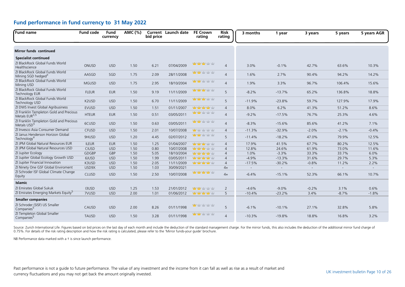| <b>Fund name</b>                                                     | <b>Fund code</b> | <b>Fund</b><br>currency | AMC (%) | bid price | <b>Current</b> Launch date | <b>FE Crown</b><br>rating           | <b>Risk</b><br>rating | 3 months | 1 year   | 3 years        | 5 years        | 5 years AGR |
|----------------------------------------------------------------------|------------------|-------------------------|---------|-----------|----------------------------|-------------------------------------|-----------------------|----------|----------|----------------|----------------|-------------|
| <b>Mirror funds continued</b>                                        |                  |                         |         |           |                            |                                     |                       |          |          |                |                |             |
| <b>Specialist continued</b>                                          |                  |                         |         |           |                            |                                     |                       |          |          |                |                |             |
| ZI BlackRock Global Funds World<br>Healthscience                     | ONUSD            | <b>USD</b>              | 1.50    | 6.21      | 07/04/2009                 | <mark>ydy ydy ydy</mark> ydy ydy    | $\overline{4}$        | 3.0%     | $-0.1%$  | 42.7%          | 63.6%          | 10.3%       |
| ZI BlackRock Global Funds World<br>Mining SGD hedged <sup>3</sup>    | AASGD            | SGD                     | 1.75    | 2.09      | 28/11/2008                 | <mark>nday nday</mark> natiy natiy  | $\overline{4}$        | 1.6%     | 2.7%     | 90.4%          | 94.2%          | 14.2%       |
| ZI BlackRock Global Funds World<br>Mining USD                        | <b>MGUSD</b>     | <b>USD</b>              | 1.75    | 2.95      | 18/10/2004                 | <mark>ydy ydy</mark> ydy ydy        | $\overline{4}$        | 1.9%     | 3.3%     | 96.7%          | 106.4%         | 15.6%       |
| ZI BlackRock Global Funds World<br><b>Technology EUR</b>             | <b>FLEUR</b>     | <b>EUR</b>              | 1.50    | 9.19      | 11/11/2009                 | <mark>nday nday h</mark> oby hoby   | 5                     | $-8.2%$  | $-13.7%$ | 65.2%          | 136.8%         | 18.8%       |
| ZI BlackRock Global Funds World<br>Technology USD                    | K2USD            | <b>USD</b>              | 1.50    | 6.70      | 11/11/2009                 | <mark>nday nday h</mark> oby hoby   | 5                     | $-11.9%$ | $-23.8%$ | 59.7%          | 127.9%         | 17.9%       |
| ZI DWS Invest Global Agribusiness                                    | <b>EVUSD</b>     | <b>USD</b>              | 1.50    | 1.51      | 01/11/2007                 | hadan hada hada hada                | $\overline{4}$        | 8.0%     | 6.2%     | 41.3%          | 51.2%          | 8.6%        |
| ZI Franklin Templeton Gold and Precious<br>Metals EUR <sup>3,5</sup> | <b>HTEUR</b>     | <b>EUR</b>              | 1.50    | 0.51      | 03/05/2011                 | <b>vity vity</b> vity vity          | $\overline{4}$        | $-9.2%$  | $-17.5%$ | 76.7%          | 25.3%          | 4.6%        |
| ZI Franklin Templeton Gold and Precious<br>Metals USD <sup>5</sup>   | 6CUSD            | <b>USD</b>              | 1.50    | 0.63      | 03/05/2011                 | ₩₩₩₩₩                               | $\overline{4}$        | $-8.3%$  | $-15.6%$ | 85.6%          | 41.2%          | 7.1%        |
| ZI Invesco Asia Consumer Demand                                      | <b>CFUSD</b>     | <b>USD</b>              | 1.50    | 2.01      | 10/07/2008                 | nday nday nday nday                 | $\overline{4}$        | $-11.3%$ | $-32.9%$ | $-2.0%$        | $-2.1%$        | $-0.4%$     |
| ZI Janus Henderson Horizon Global<br>Technology <sup>4</sup>         | 9HUSD            | <b>USD</b>              | 1.20    | 4.45      | 02/07/2012                 | wwww                                | 5                     | $-11.4%$ | $-18.2%$ | 47.0%          | 79.9%          | 12.5%       |
| ZI JPM Global Natural Resources EUR                                  | <b>ILEUR</b>     | <b>EUR</b>              | 1.50    | 1.25      | 01/04/2007                 | <b>Management</b>                   | $\overline{4}$        | 17.9%    | 41.5%    | 67.7%          | 80.2%          | 12.5%       |
| ZI JPM Global Natural Resources USD                                  | CIUSD            | <b>USD</b>              | 1.50    | 0.80      | 10/07/2008                 | <b>Mary Mary Mary Mary</b>          | $\overline{4}$        | 12.8%    | 24.6%    | 61.9%          | 73.0%          | 11.6%       |
| ZI Jupiter Ecology                                                   | GDGBP            | GBP                     | 1.50    | 5.05      | 18/10/2004                 | <b>Management</b>                   | $\overline{4}$        | 1.0%     | $-3.3%$  | 33.3%          | 33.7%          | 6.0%        |
| ZI Jupiter Global Ecology Growth USD                                 | 6JUSD            | <b>USD</b>              | 1.50    | 1.99      | 03/05/2011                 | 中中中中                                | $\overline{4}$        | $-4.9%$  | $-13.3%$ | 31.6%          | 29.7%          | 5.3%        |
| ZI Jupiter Financial Innovation                                      | K3USD            | <b>USD</b>              | 1.50    | 2.05      | 11/11/2009                 | 查查查查查                               | $\overline{4}$        | $-17.5%$ | $-30.2%$ | $-0.8%$        | 11.2%          | 2.2%        |
| ZI Ninety One GSF Global Enviroment                                  | USD9X            | <b>USD</b>              | 1.50    | 1.03      | 30/09/2021                 |                                     | $4+$                  |          |          | $\blacksquare$ | $\blacksquare$ |             |
| ZI Schroder ISF Global Climate Change<br>Equity                      | <b>CLUSD</b>     | <b>USD</b>              | 1.50    | 2.50      | 10/07/2008                 | 中中中中                                | $4+$                  | $-6.4%$  | $-15.1%$ | 52.3%          | 66.1%          | 10.7%       |
| <b>Islamic</b>                                                       |                  |                         |         |           |                            |                                     |                       |          |          |                |                |             |
| ZI Emirates Global Sukuk                                             | <b>I3USD</b>     | <b>USD</b>              | 1.25    | 1.53      | 21/01/2012                 | 查查查查                                | $\overline{2}$        | $-4.6%$  | $-9.0%$  | $-0.2%$        | 3.1%           | 0.6%        |
| ZI Emirates Emerging Markets Equity <sup>5</sup>                     | 7VUSD            | <b>USD</b>              | 2.00    | 1.01      | 01/06/2012                 | <b>Mary Mary Mary Mary</b>          | 5                     | $-10.4%$ | $-23.2%$ | 3.4%           | $-8.7%$        | $-1.8%$     |
| <b>Smaller companies</b>                                             |                  |                         |         |           |                            |                                     |                       |          |          |                |                |             |
| ZI Schroder (SISF) US Smaller<br>Companies <sup>5</sup>              | CAUSD            | <b>USD</b>              | 2.00    | 8.26      | 01/11/1998                 | <mark>nday</mark> haday haday haday | 5                     | $-6.1%$  | $-10.1%$ | 27.1%          | 32.8%          | 5.8%        |
| ZI Templeton Global Smaller<br>Companies <sup>5</sup>                | <b>TAUSD</b>     | <b>USD</b>              | 1.50    | 3.28      | 01/11/1998                 | <mark>ndy ndy</mark> ndy ndy ndy    | $\overline{4}$        | $-10.3%$ | $-19.8%$ | 18.8%          | 16.8%          | 3.2%        |

Source: Zurich International Life. Figures based on bid prices on the last day of each month and include the deduction of the standard management charge. For the mirror funds, this also includes the deduction of the additi

NB Performance data marked with a t is since launch performance.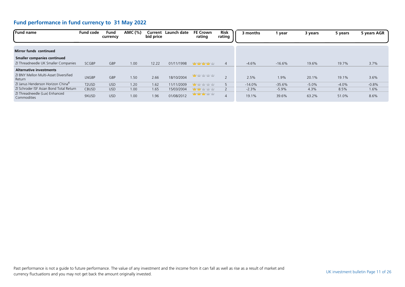| <b>Fund name</b>                                | <b>Fund code</b>               | Fund<br>currency | AMC (%) | Current<br>bid price | Launch date | <b>FE Crown</b><br>rating | <b>Risk</b><br>rating | 3 months | year     | 3 years | 5 years | 5 years AGR |
|-------------------------------------------------|--------------------------------|------------------|---------|----------------------|-------------|---------------------------|-----------------------|----------|----------|---------|---------|-------------|
|                                                 |                                |                  |         |                      |             |                           |                       |          |          |         |         |             |
| <b>Mirror funds continued</b>                   |                                |                  |         |                      |             |                           |                       |          |          |         |         |             |
| <b>Smaller companies continued</b>              |                                |                  |         |                      |             |                           |                       |          |          |         |         |             |
| ZI Threadneedle UK Smaller Companies            | <b>SCGBP</b>                   | GBP              | 1.00    | 12.22                | 01/11/1998  | <b>Management</b>         | $\overline{4}$        | $-4.6%$  | $-16.6%$ | 19.6%   | 19.7%   | 3.7%        |
| <b>Alternative investments</b>                  |                                |                  |         |                      |             |                           |                       |          |          |         |         |             |
| ZI BNY Mellon Multi-Asset Diversified<br>Return | <b>LNGBP</b>                   | GBP              | 1.50    | 2.66                 | 18/10/2004  | <b>My</b> yty yty yty     | $\sim$                | 2.5%     | 1.9%     | 20.1%   | 19.1%   | 3.6%        |
| ZI Janus Henderson Horizon China <sup>b</sup>   | T <sub>2</sub> U <sub>SD</sub> | <b>USD</b>       | 1.20    | 1.62                 | 11/11/2009  | www.ww                    |                       | $-14.0%$ | $-35.6%$ | $-5.0%$ | $-4.0%$ | $-0.8%$     |
| ZI Schroder ISF Asian Bond Total Return         | <b>CBUSD</b>                   | <b>USD</b>       | 1.00    | 1.65                 | 15/03/2004  | <b>Why why with yith</b>  |                       | $-2.3%$  | $-5.9\%$ | 4.3%    | 8.5%    | 1.6%        |
| ZI Threadneedle (Lux) Enhanced<br>Commodities   | 9XUSD                          | <b>USD</b>       | 1.00    | 1.96                 | 01/08/2012  | had you had you had you   | 4                     | 19.1%    | 39.6%    | 63.2%   | 51.0%   | 8.6%        |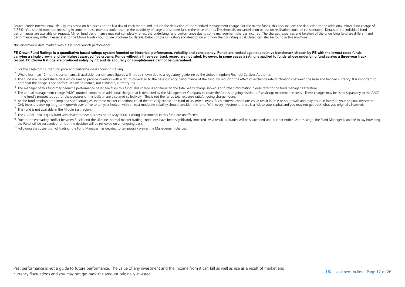Source: Zurich International Life. Figures based on bid prices on the last day of each month and include the deduction of the standard management charge. For the mirror funds, this also includes the deduction of the additi 0.75%. You should note that investing in some of these markets could result in the possibility of large and sudden falls in the price of units. The shortfalls on cancellation or loss on realisation could be considerable. D performances are available on request. Mirror fund performance may not completely reflect the underlying fund performance due to some management charges incurred. The charges expenses and taxation of the underlying fund ar performance may differ. Please refer to the Mirror funds - your guide brochure for details. Details of the risk rating and description and how the risk rating is calculated can also be found in this brochure.

NB Performance data marked with a † is since launch performance.

#### FE Crown Fund Ratings is a quantitative based ratings system founded on historical performance, volatility and consistency. Funds are ranked against a relative benchmark chosen by FE with the lowest-rated funds **carrying a single crown, and the highest awarded five crowns. Funds without a three-year track record are not rated. However, in some cases a rating is applied to funds whose underlying fund carries a three-year track record. FE Crown Ratings are produced solely by FE and its accuracy or completeness cannot be guaranteed.**

- $1$  For the Eagle funds, the fund price and performance is shown in sterling.
- <sup>2</sup> Where less than 12 months performance is available, performance figures will not be shown due to a regulatory guideline by the United Kingdom Financial Services Authority.
- <sup>3</sup> This fund is a hedged share class which aims to provide investors with a return correlated to the base currency performance of the fund, by reducing the effect of exchange rate fluctuations between the base and hedged note that the hedge is not perfect - it aims to reduce, not eliminate, currency risk.
- <sup>4</sup> The manager of this fund may deduct a performance based fee from this fund. This charge is additional to the total yearly charge shown. For further information please refer to the fund manager's literature.
- <sup>5</sup> The annual management charge (AMC) quoted, contains an additional charge that is deducted by the Management Company to cover the fund's ongoing distributor/ servicing/ maintenance costs. These charges may be listed sep in the fund's prospectus but for the purposes of this bulletin are displayed collectively. This is not the funds total expense ratio/ongoing charge figure.
- <sup>6</sup> As the fund employs both long and short strategies, extreme market conditions could theoretically expose the fund to unlimited losses. Such extreme conditions could result in little or no growth and may result in losse Only investors seeking long-term growth over a five to ten year horizon with at least moderate volatility should consider this fund. With every investment, there is a risk to your capital and you may not get back what you
- $<sup>7</sup>$  This fund is not available in the Middle East region.</sup>
- <sup>8</sup> The ZI HSBC BRIC Equity fund was closed to new business on 26 May 2006. Existing investments in this fund are unaffected.
- <sup>9</sup> Due to the escalating conflict between Russia and the Ukraine, normal market trading conditions have been significantly impaired. As a result, all trades will be suspended until further notice. At this stage, the Fund the Fund will be suspended for, but the decision will be reviewed on an ongoing basis.

 $10$ Following the suspension of trading, the Fund Manager has decided to temporarily waiver the Management charges.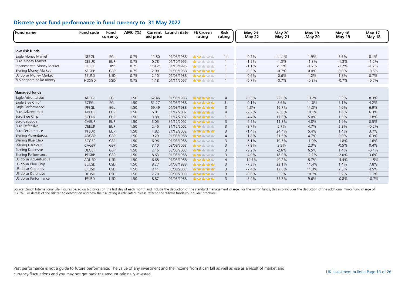| Fund name                      | <b>Fund code</b> | Fund<br>currency | AMC (%) | bid price | <b>Current</b> Launch date | <b>FE Crown</b><br>rating          | <b>Risk</b><br>rating | <b>May 21</b><br>-May 22 | <b>May 20</b><br>-May 21 | May 19<br>-May 20 | May 18<br>-May 19 | <b>May 17</b><br>-May 18 |
|--------------------------------|------------------|------------------|---------|-----------|----------------------------|------------------------------------|-----------------------|--------------------------|--------------------------|-------------------|-------------------|--------------------------|
|                                |                  |                  |         |           |                            |                                    |                       |                          |                          |                   |                   |                          |
| Low risk funds                 |                  |                  |         |           |                            |                                    |                       |                          |                          |                   |                   |                          |
| Eagle Money Market             | SEEGL            | EGL              | 0.75    | 11.80     | 01/03/1988                 | <b>Mary Mary Mary Mary</b>         | $1+$                  | $-0.2%$                  | $-11.1%$                 | 1.9%              | 3.6%              | 8.1%                     |
| Euro Money Market              | <b>SEEUR</b>     | <b>EUR</b>       | 0.75    | 0.78      | 01/10/1995                 | <b>ydy</b> ydy ydy ydy             | $\overline{1}$        | $-1.5%$                  | $-1.3%$                  | $-1.3%$           | $-1.3%$           | $-1.2%$                  |
| Japanese yen Money Market      | <b>SEJPY</b>     | <b>JPY</b>       | 0.75    | 119.21    | 01/10/1995                 | <b>uty</b> vity vity vity          | $\overline{1}$        | $-1.1%$                  | $-1.1%$                  | $-1.2%$           | $-1.2%$           | $-1.2%$                  |
| <b>Sterling Money Market</b>   | SEGBP            | GBP              | 0.75    | 2.90      | 01/03/1988                 | <b>Management</b>                  | $\mathbf{1}$          | $-0.5%$                  | $-0.7%$                  | 0.0%              | 0.0%              | $-0.5%$                  |
| US dollar Money Market         | SEUSD            | <b>USD</b>       | 0.75    | 2.10      | 01/03/1988                 | <b>Management</b> of the           |                       | $-0.6%$                  | $-0.6%$                  | 1.2%              | 1.8%              | 0.7%                     |
| ZI Singapore dollar money      | <b>HQSGD</b>     | SGD              | 0.75    | 1.18      | 01/11/2007                 | <b>Mary Market</b> Yuly Yuly       | $\mathbf 1$           | $-0.7%$                  | $-0.7%$                  | $-0.8%$           | $-0.7%$           | $-0.7%$                  |
| <b>Managed funds</b>           |                  |                  |         |           |                            |                                    |                       |                          |                          |                   |                   |                          |
| Eagle Adventurous <sup>1</sup> | ADEGL            | EGL              | 1.50    | 62.46     | 01/03/1988                 | <b>Management</b>                  | $\overline{4}$        | $-0.3%$                  | 22.6%                    | 13.2%             | 3.3%              | 8.3%                     |
| Eagle Blue Chip                | <b>BCEGL</b>     | EGL              | 1.50    | 51.27     | 01/03/1988                 | nda nda nda nda                    | $3-$                  | $-0.1%$                  | 8.6%                     | 11.0%             | 5.1%              | 4.2%                     |
| Eagle Performance <sup>1</sup> | PFEGL            | EGL              | 1.50    | 59.49     | 01/03/1988                 | habing habing habing habing habing | 3                     | 1.3%                     | 16.7%                    | 11.0%             | 4.0%              | 6.9%                     |
| Euro Adventurous               | <b>ADEUR</b>     | <b>EUR</b>       | 1.50    | 6.01      | 31/12/2002                 | ndan ndan nda                      | $\overline{4}$        | $-2.2%$                  | 28.0%                    | 10.1%             | 1.8%              | 6.3%                     |
| Euro Blue Chip                 | <b>BCEUR</b>     | <b>EUR</b>       | 1.50    | 3.88      | 31/12/2002                 | <b>halang halamatan satu</b>       | $3-$                  | $-4.4%$                  | 17.9%                    | 5.0%              | 1.5%              | 1.8%                     |
| Euro Cautious                  | <b>CAEUR</b>     | <b>EUR</b>       | 1.50    | 3.05      | 31/12/2002                 | hadan habi habi habi               | 3                     | $-6.5%$                  | 11.8%                    | 4.8%              | 1.9%              | 0.5%                     |
| Euro Defensive                 | <b>DEEUR</b>     | <b>EUR</b>       | 1.50    | 2.46      | 31/12/2002                 | <b>Mary Mar</b> Yaby Yaby          | 3                     | $-8.7%$                  | 5.7%                     | 4.7%              | 2.3%              | $-0.2%$                  |
| Euro Performance               | <b>PFEUR</b>     | <b>EUR</b>       | 1.50    | 4.82      | 31/12/2002                 | nda nda nda nda                    | 3                     | $-1.4%$                  | 24.4%                    | 5.4%              | 1.4%              | 3.7%                     |
| Sterling Adventurous           | ADGBP            | GBP              | 1.50    | 9.29      | 01/03/1988                 | <b>Mary Mar</b> Yaby Yaby          | $\overline{4}$        | $-1.8%$                  | 21.5%                    | 4.7%              | 0.0%              | 6.3%                     |
| Sterling Blue Chip             | <b>BCGBP</b>     | GBP              | 1.50    | 6.96      | 01/03/1988                 | <mark>nda</mark> hiday hiday hiday | 3                     | $-6.1%$                  | 10.5%                    | $-1.0%$           | $-1.8%$           | 1.6%                     |
| <b>Sterling Cautious</b>       | CAGBP            | GBP              | 1.50    | 3.10      | 03/03/2003                 | <b>Mary Mar</b> Yaby Yaby          | 3                     | $-7.8%$                  | 3.9%                     | 2.3%              | $-0.5%$           | 0.4%                     |
| <b>Sterling Defensive</b>      | <b>DEGBP</b>     | GBP              | 1.50    | 2.46      | 03/03/2003                 | <b>Mary Mar</b> Yaby Yaby          | 3                     | $-9.2%$                  | $-2.6%$                  | 6.5%              | 1.4%              | $-0.4%$                  |
| Sterling Performance           | PFGBP            | GBP              | 1.50    | 8.63      | 01/03/1988                 | <mark>nday nday</mark> nday nday   | 3                     | $-4.0%$                  | 18.0%                    | $-2.2%$           | $-2.0%$           | 3.6%                     |
| US dollar Adventurous          | <b>ADUSD</b>     | <b>USD</b>       | 1.50    | 6.68      | 01/03/1988                 | ndan ndan nda                      | $\overline{4}$        | $-14.7%$                 | 40.2%                    | 8.7%              | $-4.4%$           | 11.5%                    |
| US dollar Blue Chip            | <b>BCUSD</b>     | <b>USD</b>       | 1.50    | 8.27      | 01/03/1988                 | nda nda nda nda                    | 3                     | $-7.3%$                  | 22.1%                    | 11.4%             | 1.4%              | 7.8%                     |
| <b>US dollar Cautious</b>      | <b>CTUSD</b>     | <b>USD</b>       | 1.50    | 3.11      | 03/03/2003                 | ydy ydy ydy ydy                    | 3                     | $-7.4%$                  | 12.5%                    | 11.3%             | 2.5%              | 4.5%                     |
| US dollar Defensive            | <b>DFUSD</b>     | <b>USD</b>       | 1.50    | 2.28      | 03/03/2003                 | <b>halang halamatan satu</b>       | 3                     | $-8.0%$                  | 3.5%                     | 10.7%             | 3.2%              | 1.1%                     |
| US dollar Performance          | <b>PFUSD</b>     | <b>USD</b>       | 1.50    | 8.87      | 01/03/1988                 | <b>Management</b>                  | 3                     | $-8.4%$                  | 32.8%                    | 9.6%              | $-0.8%$           | 10.7%                    |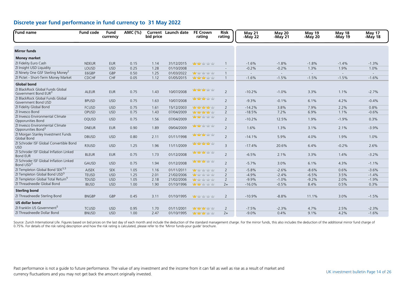| <b>Fund name</b>                                                     | <b>Fund code</b> | Fund<br>currency | AMC (%) | bid price | Current Launch date | <b>FE Crown</b><br>rating            | <b>Risk</b><br>rating | May 21<br>-May 22 | May 20<br>-May $21$ | May 19<br>-May $20$ | May 18<br>-May 19 | May 17<br>-May 18 |
|----------------------------------------------------------------------|------------------|------------------|---------|-----------|---------------------|--------------------------------------|-----------------------|-------------------|---------------------|---------------------|-------------------|-------------------|
|                                                                      |                  |                  |         |           |                     |                                      |                       |                   |                     |                     |                   |                   |
| <b>Mirror funds</b>                                                  |                  |                  |         |           |                     |                                      |                       |                   |                     |                     |                   |                   |
| <b>Money market</b>                                                  |                  |                  |         |           |                     |                                      |                       |                   |                     |                     |                   |                   |
| ZI Fidelity Euro Cash                                                | <b>NDEUR</b>     | <b>EUR</b>       | 0.15    | 1.14      | 31/12/2015          | <b>Mary Ma</b> ry Mary Mary          | $\overline{1}$        | $-1.6%$           | $-1.8%$             | $-1.8%$             | $-1.4%$           | $-1.3%$           |
| ZI Insight USD Liquidity                                             | LOUSD            | <b>USD</b>       | 0.25    | 1.28      | 01/10/2008          |                                      | $\blacksquare$        | $-0.2%$           | $-0.2%$             | 1.3%                | 1.9%              | 1.0%              |
| ZI Ninety One GSF Sterling Money <sup>2</sup>                        | E6GBP            | GBP              | 0.50    | 1.25      | 01/03/2022          | <b>May to the vity time</b>          | $\mathbf{1}$          | $\overline{a}$    | $\sim$              | $\sim$              | $\sim$            | $\sim$            |
| ZI Pictet - Short-Term Money Market                                  | <b>CDCHF</b>     | CHF              | 0.05    | 1.12      | 01/05/2015          | had you have had your                | $\mathbf{1}$          | $-1.6%$           | $-1.5%$             | $-1.5%$             | $-1.5%$           | $-1.6%$           |
| <b>Global bond</b>                                                   |                  |                  |         |           |                     |                                      |                       |                   |                     |                     |                   |                   |
| ZI BlackRock Global Funds Global<br>Government Bond EUR <sup>3</sup> | <b>ALEUR</b>     | <b>EUR</b>       | 0.75    | 1.43      | 10/07/2008          | <b>Yang Yang Yang Yang</b>           | $\overline{2}$        | $-10.2%$          | $-1.0%$             | 3.3%                | 1.1%              | $-2.7%$           |
| ZI BlackRock Global Funds Global<br>Government Bond USD              | <b>BPUSD</b>     | <b>USD</b>       | 0.75    | 1.63      | 10/07/2008          | <b>Mary Mar</b> y Mary Mary          | $\overline{2}$        | $-9.3%$           | $-0.1%$             | 6.1%                | 4.2%              | $-0.4%$           |
| ZI Fidelity Global Bond                                              | <b>FCUSD</b>     | <b>USD</b>       | 0.75    | 1.61      | 15/12/2003          | ndan ndan nda                        | $\overline{2}$        | $-14.2%$          | 3.8%                | 7.9%                | 2.2%              | 0.8%              |
| ZI Invesco Bond                                                      | OPUSD            | <b>USD</b>       | 0.75    | 1.43      | 07/04/2009          | 中中中中                                 | $\overline{2}$        | $-18.5%$          | 7.2%                | 6.9%                | 1.1%              | $-0.6%$           |
| ZI Invesco Environmental Climate<br>Opporunities Bond                | OQUSD            | <b>USD</b>       | 0.75    | 1.56      | 07/04/2009          | <mark>ndy ndy</mark> ndy ndy ndy     | 2                     | $-10.2%$          | 12.5%               | 1.9%                | $-1.9%$           | 0.3%              |
| ZI Invesco Environmental Climate<br>Opporunities Bond <sup>3</sup>   | <b>DNEUR</b>     | <b>EUR</b>       | 0.90    | 1.89      | 09/04/2009          | <mark>ndy ndy</mark> ndy ndy ndy     | $\overline{2}$        | 1.6%              | 1.3%                | 3.1%                | 2.1%              | $-3.9%$           |
| ZI Morgan Stanley Investment Funds<br>Global Bond                    | <b>DBUSD</b>     | <b>USD</b>       | 0.80    | 2.11      | 01/11/1998          | why why why why                      | 2                     | $-14.1%$          | 5.9%                | 4.0%                | 1.9%              | 1.0%              |
| ZI Schroder ISF Global Convertible Bond<br><b>USD</b>                | R3USD            | <b>USD</b>       | 1.25    | 1.96      | 11/11/2009          | haday haday haday haday              | $\overline{3}$        | $-17.4%$          | 20.6%               | 6.4%                | $-0.2%$           | 2.6%              |
| ZI Schroder ISF Global Inflation Linked<br><b>Bond EUR</b>           | <b>BLEUR</b>     | <b>EUR</b>       | 0.75    | 1.73      | 01/12/2008          | <mark>ydy ydy ydy</mark> ydy ydy     | 2                     | $-6.5%$           | 2.1%                | 3.3%                | 1.4%              | $-3.2%$           |
| ZI Schroder ISF Global Inflation Linked<br>Bond USD <sup>3</sup>     | GAUSD            | <b>USD</b>       | 0.75    | 1.94      | 01/12/2008          | <mark>nday nday h</mark> oby hoby    | $\overline{2}$        | $-5.7%$           | 3.0%                | 6.1%                | 4.3%              | $-1.1%$           |
| ZI Templeton Global Bond SEK <sup>3,5</sup>                          | <b>AJSEK</b>     | <b>SEK</b>       | 1.05    | 1.16      | 01/11/2011          | <mark>nday halv halv halv</mark>     | 2                     | $-5.8%$           | $-2.6%$             | $-8.6%$             | 0.6%              | $-3.6%$           |
| ZI Templeton Global Bond USD <sup>5</sup>                            | <b>TEUSD</b>     | <b>USD</b>       | 1.25    | 2.01      | 21/02/2006          | <mark>nda</mark> r hatir hatir hatir | $\overline{2}$        | $-4.9%$           | $-2.4%$             | $-6.5%$             | 3.5%              | $-1.4%$           |
| ZI Templeton Global Total Return <sup>5</sup>                        | <b>TDUSD</b>     | <b>USD</b>       | 1.05    | 2.18      | 21/02/2006          | 查查查查                                 | 2                     | $-9.9%$           | $-1.0%$             | $-9.2%$             | 2.0%              | $-1.9%$           |
| ZI Threadneedle Global Bond                                          | <b>IBUSD</b>     | <b>USD</b>       | 1.00    | 1.90      | 01/10/1996          | <b>Many of your year</b>             | $2+$                  | $-16.0%$          | $-0.5%$             | 8.4%                | 0.5%              | 0.3%              |
| <b>Sterling bond</b>                                                 |                  |                  |         |           |                     |                                      |                       |                   |                     |                     |                   |                   |
| ZI Threadneedle Sterling Bond                                        | <b>BNGBP</b>     | GBP              | 0.45    | 3.11      | 01/10/1995          | <b>May</b> ydy ydy ydy               | $\overline{2}$        | $-10.9%$          | $-8.8%$             | 11.1%               | 3.0%              | $-1.5%$           |
| <b>US dollar bond</b>                                                |                  |                  |         |           |                     |                                      |                       |                   |                     |                     |                   |                   |
| ZI Franklin US Government <sup>5</sup>                               | <b>TCUSD</b>     | <b>USD</b>       | 0.95    | 1.70      | 01/11/2001          | <b>Yang Yang Yang Yang</b>           | 2                     | $-7.5%$           | $-2.3%$             | 4.7%                | 2.5%              | $-2.3%$           |
| ZI Threadneedle Dollar Bond                                          | <b>BNUSD</b>     | <b>USD</b>       | 1.00    | 2.47      | 01/10/1995          | <b>Management</b> of the National    | $2+$                  | $-9.0%$           | 0.4%                | 9.1%                | 4.2%              | $-1.6%$           |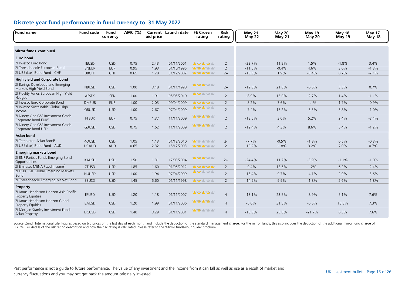| Fund name                                                             | <b>Fund code</b> | Fund<br>currency | AMC (%) | bid price | <b>Current</b> Launch date | <b>FE Crown</b><br>rating         | <b>Risk</b><br>rating | May 21<br>-May 22 | May 20<br>-May 21 | May 19<br>-May $20$ | May 18<br>-May 19 | May 17<br>-May 18 |
|-----------------------------------------------------------------------|------------------|------------------|---------|-----------|----------------------------|-----------------------------------|-----------------------|-------------------|-------------------|---------------------|-------------------|-------------------|
| <b>Mirror funds continued</b>                                         |                  |                  |         |           |                            |                                   |                       |                   |                   |                     |                   |                   |
|                                                                       |                  |                  |         |           |                            |                                   |                       |                   |                   |                     |                   |                   |
| <b>Euro bond</b>                                                      |                  |                  |         |           |                            |                                   |                       |                   |                   |                     |                   |                   |
| ZI Invesco Euro Bond                                                  | <b>IEUSD</b>     | <b>USD</b>       | 0.75    | 2.43      | 01/11/2001                 | haday haday haday haday           | 2                     | $-22.7%$          | 11.9%             | 1.5%                | $-1.8%$           | 3.4%              |
| ZI Threadneedle European Bond                                         | <b>BNEUR</b>     | <b>EUR</b>       | 0.95    | 1.93      | 01/10/1995                 | <b>Management</b>                 | $\overline{2}$        | $-11.5%$          | $-0.4%$           | 4.6%                | 3.0%              | $-1.3%$           |
| ZI UBS (Lux) Bond Fund - CHF                                          | <b>UBCHF</b>     | CHF              | 0.65    | 1.28      | 31/12/2002                 | <b>Management</b>                 | $2+$                  | $-10.6%$          | 1.9%              | $-3.4%$             | 0.7%              | $-2.1%$           |
| <b>High yield and Corporate bond</b>                                  |                  |                  |         |           |                            |                                   |                       |                   |                   |                     |                   |                   |
| ZI Barings Developed and Emerging<br>Markets High Yield Bond          | <b>NBUSD</b>     | <b>USD</b>       | 1.00    | 3.48      | 01/11/1998                 | had you have had your             | $2+$                  | $-12.0%$          | 21.6%             | $-6.5%$             | 3.3%              | 0.7%              |
| ZI Fidelity Funds European High Yield<br>Hedged                       | AFSEK            | <b>SEK</b>       | 1.00    | 1.91      | 05/05/2010                 | <b>Mary Mary Yaty Yaty</b>        | 2                     | $-8.9%$           | 13.0%             | $-2.7%$             | 1.4%              | $-1.1%$           |
| ZI Invesco Euro Corporate Bond                                        | <b>DMEUR</b>     | <b>EUR</b>       | 1.00    | 2.03      | 09/04/2009                 | haday haday haday haday           | $\overline{2}$        | $-8.2%$           | 3.6%              | 1.1%                | 1.7%              | $-0.9%$           |
| ZI Invesco Sustainable Global High<br>Income                          | ORUSD            | <b>USD</b>       | 1.00    | 2.67      | 07/04/2009                 | <b>ydy ydy ydy</b> ydy            | $\overline{2}$        | $-7.4%$           | 15.2%             | $-3.3%$             | 3.8%              | $-1.0%$           |
| ZI Ninety One GSF Investment Grade<br>Corporate Bond EUR <sup>3</sup> | <b>FTEUR</b>     | <b>EUR</b>       | 0.75    | 1.37      | 11/11/2009                 | <b>Mary Mary Mary Mary</b>        | 2                     | $-13.5%$          | 3.0%              | 5.2%                | 2.4%              | $-3.4%$           |
| ZI Ninety One GSF Investment Grade<br>Corporate Bond USD              | G3USD            | <b>USD</b>       | 0.75    | 1.62      | 11/11/2009                 | <b>Management</b>                 | 2                     | $-12.4%$          | 4.3%              | 8.6%                | 5.4%              | $-1.2%$           |
| <b>Asian bond</b>                                                     |                  |                  |         |           |                            |                                   |                       |                   |                   |                     |                   |                   |
| ZI Templeton Asian Bond <sup>5</sup>                                  | 4QUSD            | <b>USD</b>       | 1.05    | 1.13      | 01/12/2010                 | <b>Mary 11 ydy ydy</b>            | $2 -$                 | $-7.7%$           | $-0.5%$           | $-1.8%$             | 0.5%              | $-0.3%$           |
| ZI UBS (Lux) Bond Fund - AUD                                          | <b>UCAUD</b>     | <b>AUD</b>       | 0.65    | 2.32      | 15/12/2003                 | <b>Management</b>                 | $\overline{2}$        | $-10.2%$          | $-1.8%$           | 3.2%                | 7.0%              | 0.7%              |
| <b>Emerging markets bond</b>                                          |                  |                  |         |           |                            |                                   |                       |                   |                   |                     |                   |                   |
| ZI BNP Paribas Funds Emerging Bond<br>Opportunities                   | <b>KAUSD</b>     | <b>USD</b>       | 1.50    | 1.31      | 17/03/2004                 | <mark>ndan ndan</mark> halam hala | $2+$                  | $-24.4%$          | 11.7%             | $-3.9%$             | $-1.1%$           | $-1.0%$           |
| ZI Emirates MENA Fixed Income <sup>5</sup>                            | 7TUSD            | <b>USD</b>       | 1.85    | 1.60      | 01/06/2012                 | haday hada hada hada              | 2                     | $-9.4%$           | 12.5%             | 1.2%                | 6.2%              | $-2.4%$           |
| ZI HSBC GIF Global Emerging Markets<br><b>Bond</b>                    | <b>NUUSD</b>     | <b>USD</b>       | 1.00    | 1.94      | 07/04/2009                 | <b>ydy ydy</b> ydy ydy            | $\overline{2}$        | $-18.4%$          | 9.7%              | $-4.1%$             | 2.9%              | $-3.6%$           |
| ZI Threadneedle Emerging Market Bond                                  | <b>EBUSD</b>     | <b>USD</b>       | 1.45    | 5.60      | 01/11/1998                 | <b>ydy ydy</b> ydy ydy            | $\overline{2}$        | $-14.9%$          | 9.9%              | $-1.8%$             | 2.6%              | $-1.8%$           |
| Property                                                              |                  |                  |         |           |                            |                                   |                       |                   |                   |                     |                   |                   |
| ZI Janus Henderson Horizon Asia-Pacific<br><b>Property Equities</b>   | <b>EFUSD</b>     | <b>USD</b>       | 1.20    | 1.18      | 01/11/2007                 | <b>Mary Mary Mary Mary</b>        | $\overline{4}$        | $-13.1%$          | 23.5%             | $-8.9%$             | 5.1%              | 7.6%              |
| ZI Janus Henderson Horizon Global<br><b>Property Equities</b>         | <b>BAUSD</b>     | <b>USD</b>       | 1.20    | 1.99      | 01/11/2006                 | <b>Mary Mary Mary Mary</b>        | $\overline{4}$        | $-6.0%$           | 31.5%             | $-6.5%$             | 10.5%             | 7.3%              |
| ZI Morgan Stanley Investment Funds<br>Asian Property                  | <b>DCUSD</b>     | <b>USD</b>       | 1.40    | 3.29      | 01/11/2001                 | <b>Management</b>                 | $\overline{4}$        | $-15.0%$          | 25.8%             | $-21.7%$            | 6.3%              | 7.6%              |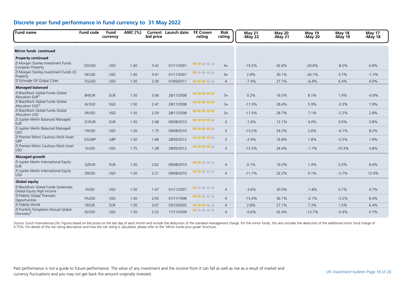| <b>Fund name</b>                                                  | <b>Fund code</b>   | <b>Fund</b><br>currency | AMC (%) | bid price | <b>Current</b> Launch date | <b>FE Crown</b><br>rating           | <b>Risk</b><br>rating | May 21<br>-May 22 | May 20<br>-May 21 | <b>May 19</b><br>-May 20 | <b>May 18</b><br>-May 19 | May 17<br>-May 18 |
|-------------------------------------------------------------------|--------------------|-------------------------|---------|-----------|----------------------------|-------------------------------------|-----------------------|-------------------|-------------------|--------------------------|--------------------------|-------------------|
| <b>Mirror funds continued</b>                                     |                    |                         |         |           |                            |                                     |                       |                   |                   |                          |                          |                   |
| <b>Property continued</b>                                         |                    |                         |         |           |                            |                                     |                       |                   |                   |                          |                          |                   |
| ZI Morgan Stanley Investment Funds<br>European Property           | <b>DDUSD</b>       | <b>USD</b>              | 1.40    | 3.42      | 01/11/2001                 | <mark>ndan nda</mark> n hatar hatar | $4+$                  | $-19.3%$          | 42.6%             | $-20.8%$                 | $-8.0%$                  | 6.8%              |
| ZI Morgan Stanley Investment Funds US<br>Property                 | <b>DEUSD</b>       | <b>USD</b>              | 1.40    | 4.41      | 01/11/2001                 | <mark>nday</mark> haday haday haday | $4+$                  | 2.8%              | 30.1%             | $-26.1%$                 | 5.7%                     | $-1.3%$           |
| ZI Schroder ISF Global Cities                                     | 7GUSD              | <b>USD</b>              | 1.50    | 2.00      | 01/09/2011                 | <mark>nday nday h</mark> atiy hatiy | $\overline{4}$        | $-7.4%$           | 27.7%             | $-6.4%$                  | 6.4%                     | 4.0%              |
| <b>Managed balanced</b>                                           |                    |                         |         |           |                            |                                     |                       |                   |                   |                          |                          |                   |
| ZI BlackRock Global Funds Global<br>Allocation EUR <sup>3</sup>   | <b>BHEUR</b>       | <b>EUR</b>              | 1.50    | 3.06      | 28/11/2008                 | 山中中中                                | $3+$                  | 0.2%              | 16.5%             | 8.1%                     | 1.9%                     | $-0.9%$           |
| ZI BlackRock Global Funds Global<br>Allocation SGD <sup>3</sup>   | ALSGD              | SGD                     | 1.50    | 2.41      | 28/11/2008                 | 查查查查查                               | $3+$                  | $-11.9%$          | 28.4%             | 5.9%                     | $-3.3%$                  | 1.9%              |
| ZI BlackRock Global Funds Global<br>Allocation USD                | <b>ERUSD</b>       | <b>USD</b>              | 1.50    | 2.59      | 28/11/2008                 | 山中中中                                | $3+$                  | $-11.5%$          | 28.7%             | 7.1%                     | $-2.2%$                  | 2.8%              |
| ZI Jupiter Merlin Balanced Managed<br><b>EUR</b>                  | <b>GYEUR</b>       | <b>EUR</b>              | 1.50    | 2.08      | 09/08/2010                 | 中中中中                                | $\overline{3}$        | $-1.6%$           | 12.1%             | 4.0%                     | 0.0%                     | 3.8%              |
| ZI Jupiter Merlin Balanced Managed<br><b>USD</b>                  | Y9USD              | <b>USD</b>              | 1.50    | 1.75      | 09/08/2010                 | <b>Mary Mary Mary Mary</b>          | $\overline{3}$        | $-13.2%$          | 24.3%             | 2.6%                     | $-4.1%$                  | 8.2%              |
| ZI Premier Miton Cautious Multi Asset<br>GBP                      | <b>DGGBP</b>       | GBP                     | 1.50    | 1.68      | 28/05/2012                 | <b>Management of the Adventure</b>  | $\overline{3}$        | $-2.9%$           | 16.8%             | 1.8%                     | $-5.5%$                  | 1.8%              |
| ZI Premier Miton Cautious Multi Asset<br><b>USD</b>               | 7LUSD              | <b>USD</b>              | 1.75    | 1.28      | 28/05/2012                 | <b>Mary Mary Mary Mary</b>          | $\overline{3}$        | $-13.3%$          | 34.4%             | $-1.7%$                  | $-10.3%$                 | 4.8%              |
| Managed growth                                                    |                    |                         |         |           |                            |                                     |                       |                   |                   |                          |                          |                   |
| ZI Jupiter Merlin International Equity<br><b>EUR</b>              | <b>GZEUR</b>       | <b>EUR</b>              | 1.50    | 2.62      | 09/08/2010                 | <b>yddy yddy</b> yddy yddy          | $\overline{4}$        | 0.1%              | 19.3%             | 1.4%                     | 0.3%                     | 8.4%              |
| ZI Jupiter Merlin International Equity<br><b>USD</b>              | Z9USD              | <b>USD</b>              | 1.50    | 2.21      | 09/08/2010                 | <b>ydy ydy</b> ydy ydy              | $\overline{4}$        | $-11.7%$          | 32.2%             | 0.1%                     | $-3.7%$                  | 12.9%             |
| <b>Global equity</b>                                              |                    |                         |         |           |                            |                                     |                       |                   |                   |                          |                          |                   |
| ZI BlackRock Global Funds Systematic<br>Global Equity High Income | <b>FIUSD</b>       | <b>USD</b>              | 1.50    | 1.67      | 01/11/2007                 | <b>ydy</b> ydy ydy ydy              | $\overline{4}$        | $-3.6%$           | 30.0%             | $-1.8%$                  | 0.7%                     | 4.7%              |
| ZI Fidelity Global Thematic<br>Opportunities                      | <b>FAUSD</b>       | <b>USD</b>              | 1.50    | 2.93      | 01/11/1998                 | <b>ydy ydy</b> ydy ydy              | $\overline{4}$        | $-15.0%$          | 36.1%             | $-0.1%$                  | $-3.2%$                  | 8.4%              |
| ZI Fidelity World                                                 | <b>FEEUR</b>       | <b>EUR</b>              | 1.50    | 3.67      | 03/10/2005                 | <b>ydy ydy</b> ydy ydy              | $\overline{4}$        | 2.8%              | 27.1%             | 7.3%                     | 1.5%                     | 6.4%              |
| ZI Franklin Templeton Mutual Global<br>Discovery <sup>5</sup>     | R <sub>2</sub> USD | <b>USD</b>              | 1.50    | 2.22      | 11/11/2009                 | ndy y dry y dry y dry               | $\overline{4}$        | $-0.6%$           | 42.4%             | $-13.7%$                 | $-5.4%$                  | 0.7%              |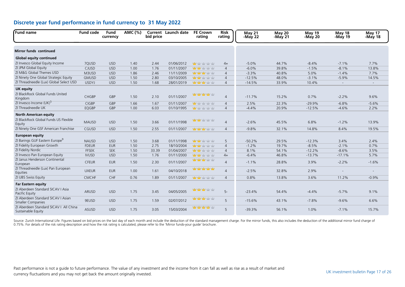| <b>Fund name</b>                                                      | <b>Fund code</b> | <b>Fund</b><br>currency | AMC (%) | bid price | <b>Current</b> Launch date | <b>FE Crown</b><br>rating                  | <b>Risk</b><br>rating | <b>May 21</b><br>-May 22 | <b>May 20</b><br>-May 21 | May 19<br>$-May20$ | May 18<br>-May 19        | May 17<br>-May 18        |
|-----------------------------------------------------------------------|------------------|-------------------------|---------|-----------|----------------------------|--------------------------------------------|-----------------------|--------------------------|--------------------------|--------------------|--------------------------|--------------------------|
| <b>Mirror funds continued</b>                                         |                  |                         |         |           |                            |                                            |                       |                          |                          |                    |                          |                          |
| <b>Global equity continued</b>                                        |                  |                         |         |           |                            |                                            |                       |                          |                          |                    |                          |                          |
| ZI Invesco Global Equity Income                                       | 7QUSD            | <b>USD</b>              | 1.40    | 2.44      | 01/06/2012                 | <mark>nda</mark> n habi habi habi habi     | $4+$                  | $-5.0%$                  | 44.7%                    | $-8.4%$            | $-7.1%$                  | 7.7%                     |
| ZI JPM Global Equity                                                  | CJUSD            | <b>USD</b>              | 1.00    | 1.76      | 01/11/2007                 | <b>ydy ydy</b> ydy ydy                     | $\overline{4}$        | $-6.0%$                  | 39.8%                    | $-1.5%$            | $-8.1%$                  | 13.8%                    |
| ZI M&G Global Themes USD                                              | M3USD            | <b>USD</b>              | 1.86    | 2.46      | 11/11/2009                 | <b>Management of the National Property</b> | $\overline{4}$        | $-3.3%$                  | 40.8%                    | 5.0%               | $-1.4%$                  | 7.7%                     |
| ZI Ninety One Global Strategic Equity                                 | <b>GMUSD</b>     | <b>USD</b>              | 1.50    | 2.80      | 03/10/2005                 | <b>yddy yddy</b> yddy yddy                 | $\overline{4}$        | $-12.5%$                 | 48.0%                    | $-3.1%$            | $-5.9%$                  | 14.5%                    |
| ZI Threadneedle (Lux) Global Select USD                               | <b>USDYJ</b>     | <b>USD</b>              | 1.50    | 1.68      | 28/01/2019                 | <b>Management of the National Property</b> | $\overline{4}$        | $-14.5%$                 | 33.9%                    | 10.4%              | $\sim$                   | $\sim$                   |
| <b>UK equity</b>                                                      |                  |                         |         |           |                            |                                            |                       |                          |                          |                    |                          |                          |
| ZI BlackRock Global Funds United<br>Kingdom                           | <b>CHGBP</b>     | GBP                     | 1.50    | 2.10      | 01/11/2007                 | 查查查查查                                      | $\overline{4}$        | $-11.7%$                 | 15.2%                    | 0.7%               | $-2.2%$                  | 9.6%                     |
| ZI Invesco Income (UK) <sup>5</sup>                                   | <b>CIGBP</b>     | GBP                     | 1.66    | 1.67      | 01/11/2007                 | <b>ydy</b> ydy ydy ydy                     | $\overline{4}$        | 2.5%                     | 22.3%                    | $-29.9%$           | $-6.8%$                  | $-5.6%$                  |
| ZI Threadneedle UK                                                    | EQGBP            | GBP                     | 1.00    | 6.03      | 01/10/1995                 | <mark>nda</mark> n habi habi habi habi     | $\overline{4}$        | $-4.4%$                  | 20.9%                    | $-12.5%$           | $-4.6%$                  | 2.2%                     |
| <b>North American equity</b><br>ZI BlackRock Global Funds US Flexible |                  |                         |         |           |                            | <b>ydy ydy</b> ydry ydry                   |                       |                          |                          |                    |                          |                          |
| Equity                                                                | <b>MAUSD</b>     | <b>USD</b>              | 1.50    | 3.66      | 01/11/1998                 |                                            | $\overline{4}$        | $-2.6%$                  | 45.5%                    | 6.8%               | $-1.2%$                  | 13.9%                    |
| ZI Ninety One GSF American Franchise                                  | CGUSD            | <b>USD</b>              | 1.50    | 2.55      | 01/11/2007                 | <b>Management of the National Property</b> | $\overline{4}$        | $-9.8%$                  | 32.1%                    | 14.8%              | 8.4%                     | 19.5%                    |
| <b>European equity</b>                                                |                  |                         |         |           |                            |                                            |                       |                          |                          |                    |                          |                          |
| ZI Barings GUF Eastern Europe <sup>9</sup>                            | <b>NAUSD</b>     | <b>USD</b>              | 1.50    | 3.68      | 01/11/1998                 | 查查查查查                                      | 5                     | $-50.2%$                 | 29.5%                    | $-12.3%$           | 3.4%                     | 2.4%                     |
| ZI Fidelity European Growth                                           | <b>FDEUR</b>     | <b>EUR</b>              | 1.50    | 2.75      | 18/10/2004                 | <b>ydy ydy</b> ydy ydy                     | $\overline{4}$        | $-1.2%$                  | 19.7%                    | $-8.5%$            | $-2.1%$                  | 0.7%                     |
| ZI Fidelity Nordic                                                    | <b>FFSEK</b>     | <b>SEK</b>              | 1.50    | 33.39     | 01/04/2007                 | 查查查查查                                      | $\overline{4}$        | 8.1%                     | 54.1%                    | $-12.2%$           | $-8.6%$                  | 3.5%                     |
| ZI Invesco Pan European Equity                                        | <b>IVUSD</b>     | <b>USD</b>              | 1.50    | 1.76      | 01/11/2000                 | <b>ydy ydy</b> ydy ydy                     | $4+$                  | $-6.4%$                  | 46.8%                    | $-13.7%$           | $-17.1%$                 | 5.7%                     |
| ZI Janus Henderson Continental<br>European                            | <b>CFEUR</b>     | <b>EUR</b>              | 1.50    | 2.30      | 01/11/2007                 | <b>yddy yddy</b> yddy yddy                 | $\overline{4}$        | $-1.1%$                  | 28.8%                    | 3.9%               | $-2.2%$                  | $-1.6%$                  |
| ZI Threadneedle (Lux) Pan European<br>Equities                        | <b>UXEUR</b>     | <b>EUR</b>              | 1.00    | 1.61      | 04/10/2018                 | habing hang habing habing habing           | $\overline{4}$        | $-2.5%$                  | 32.8%                    | 2.9%               | $\overline{\phantom{a}}$ | $\overline{\phantom{a}}$ |
| ZI UBS Swiss Equity                                                   | <b>CMCHF</b>     | CHF                     | 0.76    | 1.89      | 01/11/2007                 | <b>yddy yddy</b> yddy yddy                 | $\overline{4}$        | 0.8%                     | 13.8%                    | 3.6%               | 11.2%                    | $-0.9%$                  |
| <b>Far Eastern equity</b>                                             |                  |                         |         |           |                            |                                            |                       |                          |                          |                    |                          |                          |
| ZI Aberdeen Standard SICAV I Asia<br>Pacific Equity                   | <b>ARUSD</b>     | <b>USD</b>              | 1.75    | 3.45      | 04/05/2005                 | <b>halay halay</b> halay halay             | $5-$                  | $-23.4%$                 | 54.4%                    | $-4.4%$            | $-5.7%$                  | 9.1%                     |
| ZI Aberdeen Standard SICAV I Asian<br><b>Smaller Companies</b>        | 9EUSD            | <b>USD</b>              | 1.75    | 1.59      | 02/07/2012                 | <b>halay halay</b> halay halay             | 5                     | $-15.6%$                 | 43.1%                    | $-7.8%$            | $-9.6%$                  | 6.6%                     |
| ZI Aberdeen Standard SICAV I All China<br>Sustainable Equity          | <b>ASUSD</b>     | <b>USD</b>              | 1.75    | 3.05      | 15/03/2004                 | <b>Manazarta</b> Manazarta                 | 5                     | $-39.3%$                 | 56.1%                    | 1.0%               | $-7.1%$                  | 15.7%                    |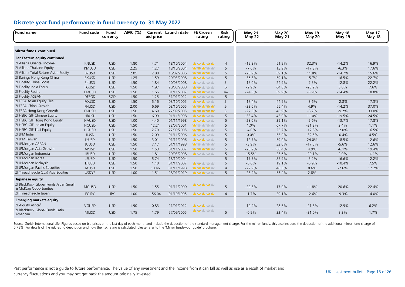| Fund name                                                       | <b>Fund code</b> | Fund<br>currency | AMC (%) | bid price | Current Launch date | <b>FE Crown</b><br>rating        | <b>Risk</b><br>rating | May 21<br>-May 22        | <b>May 20</b><br>-May 21 | <b>May 19</b><br>-May 20 | May 18<br>-May 19        | May 17<br>-May 18 |
|-----------------------------------------------------------------|------------------|------------------|---------|-----------|---------------------|----------------------------------|-----------------------|--------------------------|--------------------------|--------------------------|--------------------------|-------------------|
|                                                                 |                  |                  |         |           |                     |                                  |                       |                          |                          |                          |                          |                   |
| <b>Mirror funds continued</b>                                   |                  |                  |         |           |                     |                                  |                       |                          |                          |                          |                          |                   |
| Far Eastern equity continued                                    |                  |                  |         |           |                     |                                  |                       |                          |                          |                          |                          |                   |
| ZI Allianz Oriental Income                                      | <b>KNUSD</b>     | <b>USD</b>       | 1.80    | 4.71      | 18/10/2004          | had yahat yahat yahat            | $\overline{4}$        | $-19.8%$                 | 51.9%                    | 32.3%                    | $-14.2%$                 | 16.9%             |
| ZI Allianz Thailand Equity                                      | <b>KMUSD</b>     | <b>USD</b>       | 2.25    | 4.27      | 18/10/2004          | <b>Mary Mar</b> y Mary Mary      | 5                     | $-7.6%$                  | 13.9%                    | $-17.3%$                 | $-6.3%$                  | 17.6%             |
| ZI Allianz Total Return Asian Equity                            | <b>BZUSD</b>     | <b>USD</b>       | 2.05    | 2.80      | 16/02/2006          | 中中中中                             | 5                     | $-28.9%$                 | 59.1%                    | 11.8%                    | $-14.7%$                 | 15.6%             |
| ZI Barings Hong Kong China                                      | <b>BXUSD</b>     | <b>USD</b>       | 1.25    | 1.59      | 20/03/2008          | <b>yddy yddy</b> yddy yddy       | 5                     | $-36.3%$                 | 59.1%                    | 15.7%                    | $-16.5%$                 | 22.7%             |
| ZI Fidelity China Focus                                         | <b>FKUSD</b>     | <b>USD</b>       | 1.50    | 1.84      | 20/03/2008          | <b>May</b> hair hair hair hair   | $5-$                  | $-15.0%$                 | 24.9%                    | $-7.5%$                  | $-12.8%$                 | 22.2%             |
| ZI Fidelity India Focus                                         | FGUSD            | <b>USD</b>       | 1.50    | 1.97      | 20/03/2008          | <b>Many of your year</b>         | $5-$                  | $-2.9%$                  | 64.6%                    | $-25.2%$                 | 5.8%                     | 7.6%              |
| ZI Fidelity Pacific                                             | <b>EMUSD</b>     | <b>USD</b>       | 1.50    | 1.65      | 01/11/2007          | <b>Management</b>                | $4+$                  | $-24.6%$                 | 59.9%                    | $-5.9%$                  | $-14.4%$                 | 18.8%             |
| ZI Fidelity ASEAN <sup>2</sup>                                  | <b>DFSGD</b>     | SGD              | 1.50    | 1.25      | 31/01/2022          | <b>ydy</b> ydy ydy ydy           | 5                     | $\overline{\phantom{a}}$ | $\sim$                   | $\sim$                   | $\sim$                   | $\sim$            |
| ZI FSSA Asian Equity Plus                                       | <b>FOUSD</b>     | <b>USD</b>       | 1.50    | 5.16      | 03/10/2005          | <b>Man Market Yaty Man</b>       | $5-$                  | $-17.4%$                 | 44.5%                    | $-3.6%$                  | $-2.8%$                  | 17.3%             |
| ZI FSSA China Growth                                            | <b>FNUSD</b>     | <b>USD</b>       | 2.00    | 6.69      | 03/10/2005          | <b>Man Man Man Man</b>           | $5-$                  | $-32.0%$                 | 55.4%                    | 4.9%                     | $-14.2%$                 | 37.0%             |
| ZI FSSA Hong Kong Growth                                        | <b>FMUSD</b>     | <b>USD</b>       | 1.50    | 4.69      | 27/09/2005          | had yahat yahat yahat            | $5-$                  | $-27.0%$                 | 46.9%                    | $-8.2%$                  | $-9.2%$                  | 33.0%             |
| ZI HSBC GIF Chinese Equity                                      | <b>HBUSD</b>     | <b>USD</b>       | 1.50    | 6.99      | 01/11/1998          | 查查查查查                            | 5                     | $-33.4%$                 | 43.9%                    | 11.0%                    | $-19.5%$                 | 24.5%             |
| ZI HSBC GIF Hong Kong Equity                                    | <b>HAUSD</b>     | <b>USD</b>       | 1.00    | 4.40      | 01/11/1998          | <b>Mary Mar</b> y Mary Mary      | 5                     | $-28.0%$                 | 39.1%                    | $-2.6%$                  | $-13.7%$                 | 17.8%             |
| ZI HSBC GIF Indian Equity                                       | <b>HCUSD</b>     | <b>USD</b>       | 1.50    | 12.21     | 23/07/2001          | why why why why                  | 5                     | 1.0%                     | 67.7%                    | $-31.3%$                 | 2.4%                     | 1.1%              |
| ZI HSBC GIF Thai Equity                                         | <b>HGUSD</b>     | <b>USD</b>       | 1.50    | 2.79      | 27/09/2005          | 中中中中                             | 5                     | $-4.0%$                  | 23.7%                    | $-17.8%$                 | $-2.0%$                  | 16.5%             |
| ZI JPM India                                                    | <b>JIUSD</b>     | <b>USD</b>       | 1.50    | 2.09      | 01/11/2006          | 查查查查                             | 5                     | 0.0%                     | 53.9%                    | $-32.5%$                 | $-0.4%$                  | 4.5%              |
| ZI JPM Taiwan                                                   | <b>IYUSD</b>     | <b>USD</b>       | 1.50    | 3.01      | 01/11/2006          | <b>Management</b> of the Male    | 5                     | $-12.7%$                 | 59.0%                    | 24.0%                    | $-18.5%$                 | 12.6%             |
| ZI JPMorgan ASEAN                                               | <b>JCUSD</b>     | <b>USD</b>       | 1.50    | 7.17      | 01/11/1998          | <b>May to the vity time</b>      | 5                     | $-3.9%$                  | 32.0%                    | $-17.5%$                 | $-5.6%$                  | 12.6%             |
| ZI JPMorgan Asia Growth                                         | <b>APUSD</b>     | <b>USD</b>       | 1.50    | 1.53      | 01/11/2007          | <b>Management</b>                | 5                     | $-28.2%$                 | 58.4%                    | 4.9%                     | $-6.1%$                  | 19.4%             |
| ZI JPMorgan Indonesia                                           | <b>JRUSD</b>     | <b>USD</b>       | 1.50    | 1.81      | 20/03/2008          | <b>ydy</b> ydy ydy ydy           | 5                     | 15.5%                    | 23.6%                    | $-29.1%$                 | 2.0%                     | $-4.1%$           |
| ZI JPMorgan Korea                                               | <b>JEUSD</b>     | <b>USD</b>       | 1.50    | 5.74      | 18/10/2004          |                                  | 5                     | $-17.7%$                 | 85.9%                    | $-5.2%$                  | $-16.6%$                 | 12.2%             |
| ZI JPMorgan Malaysia                                            | <b>DIUSD</b>     | <b>USD</b>       | 1.50    | 1.40      | 01/11/2007          | <b>Man Market Yaty Man</b>       | 5                     | $-6.6%$                  | 19.1%                    | $-6.9%$                  | $-10.4%$                 | 7.5%              |
| ZI JPMorgan Pacific Securities                                  | <b>JAUSD</b>     | <b>USD</b>       | 1.50    | 10.46     | 01/11/1998          | ndan ndan nda                    | $\overline{4}$        | $-22.9%$                 | 48.3%                    | 8.6%                     | $-7.6%$                  | 17.2%             |
| ZI Threadneedle (Lux) Asia Equities                             | <b>USDYF</b>     | <b>USD</b>       | 1.00    | 1.51      | 28/01/2019          | <b>Mary Mary Mary Mary</b>       | 5                     | $-23.9%$                 | 53.4%                    | 2.8%                     | $\overline{\phantom{a}}$ | $\sim$            |
| Japanese equity                                                 |                  |                  |         |           |                     |                                  |                       |                          |                          |                          |                          |                   |
| ZI BlackRock Global Funds Japan Small<br>& MidCap Opportunities | <b>MCUSD</b>     | <b>USD</b>       | 1.50    | 1.55      | 01/11/2000          | 查查查查查                            | 5                     | $-20.3%$                 | 17.0%                    | 11.8%                    | $-20.6%$                 | 22.4%             |
| ZI Threadneedle Japan                                           | <b>EQJPY</b>     | <b>JPY</b>       | 1.00    | 156.04    | 01/10/1995          | <b>Man Man Man Man</b>           | $\overline{4}$        | $-1.7%$                  | 29.1%                    | 12.6%                    | $-9.3%$                  | 14.0%             |
| <b>Emerging markets equity</b>                                  |                  |                  |         |           |                     |                                  |                       |                          |                          |                          |                          |                   |
| ZI Alguity Africa <sup>4</sup>                                  | VGUSD            | <b>USD</b>       | 1.90    | 0.83      | 21/01/2012          | <b>Man March 1979</b>            | $\sim$                | $-10.9%$                 | 28.5%                    | $-21.8%$                 | $-12.9%$                 | 6.2%              |
| ZI BlackRock Global Funds Latin<br>American                     | <b>MIUSD</b>     | <b>USD</b>       | 1.75    | 1.79      | 27/09/2005          | <mark>ndy ndy</mark> ndy ndy ndy | 5                     | $-0.9%$                  | 32.4%                    | $-31.0%$                 | 8.3%                     | 1.7%              |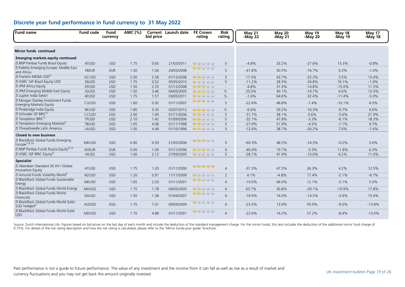| <b>Fund name</b>                                                     | <b>Fund code</b>               | Fund<br>currency | AMC (%) | bid price | Current Launch date | <b>FE Crown</b><br>rating            | <b>Risk</b><br>rating | May 21<br>-May 22 | <b>May 20</b><br>-May 21 | <b>May 19</b><br>-May 20 | May 18<br>-May 19 | May 17<br>-May 18 |
|----------------------------------------------------------------------|--------------------------------|------------------|---------|-----------|---------------------|--------------------------------------|-----------------------|-------------------|--------------------------|--------------------------|-------------------|-------------------|
| <b>Mirror funds continued</b>                                        |                                |                  |         |           |                     |                                      |                       |                   |                          |                          |                   |                   |
| <b>Emerging markets equity continued</b>                             |                                |                  |         |           |                     |                                      |                       |                   |                          |                          |                   |                   |
| ZI BNP Paribas Funds Brazil Equity                                   | 4TUSD                          | <b>USD</b>       | 1.75    | 0.65      | 21/03/2011          | <b>Mar</b> yaby yaby yaby            | 5                     | $-4.8%$           | 33.2%                    | $-27.6%$                 | 13.3%             | $-0.8%$           |
| ZI Fidelity Emerging Europe, Middle East<br>and Africa               | <b>FBEUR</b>                   | <b>EUR</b>       | 1.50    | 1.36      | 20/03/2008          | <mark>ndar hala</mark> r halar halar | 5                     | $-41.8%$          | 50.5%                    | $-16.7%$                 | 0.3%              | $-1.0%$           |
| ZI Franklin MENA USD <sup>5</sup>                                    | GCUSD                          | <b>USD</b>       | 2.00    | 2.58      | 01/12/2008          | <b>Mary Market Yelly Mark</b>        | 5                     | 17.3%             | 43.7%                    | $-22.3%$                 | 3.5%              | 13.4%             |
| ZI HSBC GIF Brazil Equity USD                                        | Z6USD                          | <b>USD</b>       | 1.75    | 0.52      | 05/05/2010          | <b>Mar</b> Yahy Yahy Yahy            | 5                     | $-11.2%$          | 28.3%                    | $-34.8%$                 | 16.1%             | $-1.9%$           |
| ZI JPM Africa Equity                                                 | <b>EPUSD</b>                   | <b>USD</b>       | 1.50    | 2.33      | 01/12/2008          | <b>Mary Mary Mary Mary</b>           | $\sim$                | $-4.8%$           | 31.0%                    | $-14.8%$                 | $-15.0%$          | 11.5%             |
| ZI JPM Emerging Middle East Equity                                   | <b>JGUSD</b>                   | <b>USD</b>       | 1.50    | 3.46      | 04/05/2005          | <b>Management</b>                    | $5-$                  | 25.0%             | 40.1%                    | $-14.7%$                 | 6.6%              | 12.0%             |
| ZI Jupiter India Select                                              | 6FUSD                          | <b>USD</b>       | 1.75    | 1.57      | 03/05/2011          | <b>Mary to your your</b>             | $5-$                  | $-1.6%$           | 64.6%                    | $-32.4%$                 | $-11.4%$          | $-5.0%$           |
| ZI Morgan Stanley Investment Funds<br><b>Emerging Markets Equity</b> | CUUSD                          | <b>USD</b>       | 1.60    | 0.92      | 01/11/2007          | <mark>nday nday h</mark> oby hoby    | 5                     | $-22.4%$          | 48.8%                    | $-7.4%$                  | $-10.1%$          | 4.5%              |
| ZI Pinebridge India Equity                                           | 9KUSD                          | <b>USD</b>       | 1.80    | 3.30      | 02/07/2012          | <mark>nday nday h</mark> oby hoby    | $5-$                  | $-6.6%$           | 59.2%                    | $-16.3%$                 | $-0.7%$           | 4.6%              |
| ZI Schroder ISF BRIC <sup>5</sup>                                    | CCUSD                          | <b>USD</b>       | 2.00    | 1.69      | 01/11/2006          | <b>vity yity</b> yity yity           | 5                     | $-31.7%$          | 38.1%                    | 0.6%                     | $-5.6%$           | 21.9%             |
| ZI Templeton BRIC <sup>5</sup>                                       | <b>TFUSD</b>                   | <b>USD</b>       | 2.10    | 1.42      | 01/09/2006          | <b>Mary Mary Mary Mary</b>           | 5                     | $-32.1%$          | 47.8%                    | $-3.3%$                  | $-6.1%$           | 18.3%             |
| ZI Templeton Emerging Markets <sup>5</sup>                           | <b>TBUSD</b>                   | <b>USD</b>       | 1.65    | 4.08      | 01/11/1998          | <b>Management</b> of the National    | 5                     | $-27.9%$          | 51.9%                    | $-4.5%$                  | $-7.1%$           | 9.7%              |
| ZI Threadneedle Latin America                                        | LAUSD                          | <b>USD</b>       | 1.00    | 4.48      | 01/10/1996          | <b>yddy yddy</b> yddy yddy           | 5                     | $-12.6%$          | 38.7%                    | $-26.2%$                 | 7.0%              | $-1.6%$           |
| <b>Closed to new business</b>                                        |                                |                  |         |           |                     |                                      |                       |                   |                          |                          |                   |                   |
| ZI BlackRock Global Funds Emerging<br>Europe <sup>7,9,10</sup>       | <b>MKUSD</b>                   | <b>USD</b>       | 0.00    | 0.59      | 21/02/2006          | <b>Yang Yang Yang Yang</b>           | 5                     | $-60.3%$          | 48.5%                    | $-14.3%$                 | $-0.2%$           | 3.6%              |
| ZI BNP Paribas Funds Russia Equity <sup>9,10</sup>                   | <b>KHEUR</b>                   | <b>EUR</b>       | 0.00    | 1.09      | 01/11/2006          | <b>ydy ydy ydy</b> ydy               | $\overline{4}$        | $-40.4%$          | 19.7%                    | $-3.3%$                  | 11.8%             | 6.3%              |
| ZI HSBC GIF BRIC Equity <sup>8</sup>                                 | <b>HIUSD</b>                   | <b>USD</b>       | 1.00    | 2.12      | 27/09/2005          | <b>Ma</b> y day day day              | 5                     | $-28.1%$          | 41.9%                    | $-15.0%$                 | 6.2%              | 11.0%             |
| <b>Specialist</b>                                                    |                                |                  |         |           |                     |                                      |                       |                   |                          |                          |                   |                   |
| ZI Aberdeen Standard SICAV I Global<br>Innovation Equity             | <b>ATUSD</b>                   | <b>USD</b>       | 1.75    | 1.20      | 01/11/2000          | hair hair hair hair                  | $\overline{4}$        | $-37.3%$          | 47.5%                    | 26.3%                    | 4.2%              | 12.5%             |
| ZI Amundi Funds Volatility World <sup>4</sup>                        | N <sub>2</sub> U <sub>SD</sub> | <b>USD</b>       | 1.20    | 0.91      | 11/11/2009          | <b>ydy</b> ydy ydy ydy               | 2                     | 4.1%              | $-4.8%$                  | 17.4%                    | $-2.1%$           | $-9.7%$           |
| ZI BlackRock Global Funds Sustainable<br>Energy                      | <b>MEUSD</b>                   | <b>USD</b>       | 1.65    | 2.20      | 01/11/2001          | <b>Yangi yai</b> y yaiy yaiy         | $\overline{4}$        | $-10.0%$          | 66.0%                    | 12.1%                    | $-5.1%$           | 5.0%              |
| ZI BlackRock Global Funds World Energy                               | <b>MHUSD</b>                   | <b>USD</b>       | 1.75    | 1.78      | 04/05/2005          | <b>vity vity</b> vity vity           | $\overline{4}$        | 63.7%             | 30.8%                    | $-29.1%$                 | $-19.9%$          | 17.8%             |
| ZI BlackRock Global Funds World<br>Financials                        | <b>MJUSD</b>                   | <b>USD</b>       | 1.50    | 1.38      | 01/04/2007          | <b>ydy ydy</b> ydy ydy               | $\overline{4}$        | $-19.0%$          | 74.0%                    | $-14.5%$                 | $-3.9%$           | 15.6%             |
| ZI BlackRock Global Funds World Gold -<br>SGD hedged <sup>3</sup>    | AOSGD                          | SGD              | 1.75    | 1.01      | 09/04/2009          | <b>uty</b> vir vir vir               | $\overline{4}$        | $-23.3%$          | 13.9%                    | 55.0%                    | $-9.5%$           | $-13.8%$          |
| ZI BlackRock Global Funds World Gold<br><b>USD</b>                   | <b>MDUSD</b>                   | <b>USD</b>       | 1.75    | 4.88      | 01/11/2001          | <b>Mar</b> y to ythy ythy            | $\overline{4}$        | $-22.6%$          | 14.2%                    | 57.2%                    | $-8.4%$           | $-13.0%$          |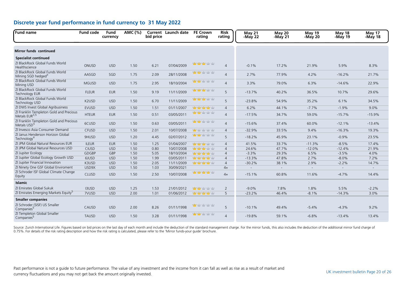| <b>Fund name</b>                                                   | <b>Fund code</b> | <b>Fund</b><br>currency | AMC (%) | bid price | <b>Current</b> Launch date | <b>FE Crown</b><br>rating           | <b>Risk</b><br>rating | <b>May 21</b><br>-May 22 | <b>May 20</b><br>-May 21 | <b>May 19</b><br>-May 20 | <b>May 18</b><br>-May 19 | May 17<br>-May 18 |
|--------------------------------------------------------------------|------------------|-------------------------|---------|-----------|----------------------------|-------------------------------------|-----------------------|--------------------------|--------------------------|--------------------------|--------------------------|-------------------|
| <b>Mirror funds continued</b>                                      |                  |                         |         |           |                            |                                     |                       |                          |                          |                          |                          |                   |
| <b>Specialist continued</b>                                        |                  |                         |         |           |                            |                                     |                       |                          |                          |                          |                          |                   |
| ZI BlackRock Global Funds World<br>Healthscience                   | ONUSD            | <b>USD</b>              | 1.50    | 6.21      | 07/04/2009                 | <mark>nday nday h</mark> atiy hatiy | $\overline{4}$        | $-0.1%$                  | 17.2%                    | 21.9%                    | 5.9%                     | 8.3%              |
| ZI BlackRock Global Funds World<br>Mining SGD hedged <sup>3</sup>  | AASGD            | SGD                     | 1.75    | 2.09      | 28/11/2008                 | <b>ydy ydy</b> ydy ydy              | $\overline{4}$        | 2.7%                     | 77.9%                    | 4.2%                     | $-16.2%$                 | 21.7%             |
| ZI BlackRock Global Funds World<br>Mining USD                      | <b>MGUSD</b>     | <b>USD</b>              | 1.75    | 2.95      | 18/10/2004                 | <b>ydy ydy</b> ydry ydry            | $\overline{4}$        | 3.3%                     | 79.0%                    | 6.3%                     | $-14.6%$                 | 22.9%             |
| ZI BlackRock Global Funds World<br><b>Technology EUR</b>           | <b>FLEUR</b>     | <b>EUR</b>              | 1.50    | 9.19      | 11/11/2009                 | www.ww                              | 5                     | $-13.7%$                 | 40.2%                    | 36.5%                    | 10.7%                    | 29.6%             |
| ZI BlackRock Global Funds World<br>Technology USD                  | K2USD            | <b>USD</b>              | 1.50    | 6.70      | 11/11/2009                 | <b>vior vior vior vior</b>          | 5                     | $-23.8%$                 | 54.9%                    | 35.2%                    | 6.1%                     | 34.5%             |
| ZI DWS Invest Global Agribusiness                                  | <b>EVUSD</b>     | <b>USD</b>              | 1.50    | 1.51      | 01/11/2007                 | hadan hada hada hada g              | $\overline{4}$        | 6.2%                     | 44.1%                    | $-7.7%$                  | $-1.9%$                  | 9.0%              |
| ZI Franklin Templeton Gold and Precious<br>Metals $EUR3,5$         | <b>HTEUR</b>     | <b>EUR</b>              | 1.50    | 0.51      | 03/05/2011                 | <b>yddy yddy</b> yddy yddy          | $\overline{4}$        | $-17.5%$                 | 34.7%                    | 59.0%                    | $-15.7%$                 | $-15.9%$          |
| ZI Franklin Templeton Gold and Precious<br>Metals USD <sup>5</sup> | 6CUSD            | <b>USD</b>              | 1.50    | 0.63      | 03/05/2011                 | <b>YEV YEV</b> YEV YEV              | $\overline{4}$        | $-15.6%$                 | 37.4%                    | 60.0%                    | $-12.1%$                 | $-13.4%$          |
| ZI Invesco Asia Consumer Demand                                    | CFUSD            | <b>USD</b>              | 1.50    | 2.01      | 10/07/2008                 | <b>Mo</b> y by y by y by            | $\overline{4}$        | $-32.9%$                 | 33.5%                    | 9.4%                     | $-16.3%$                 | 19.3%             |
| ZI Janus Henderson Horizon Global<br>Technology <sup>4</sup>       | 9HUSD            | <b>USD</b>              | 1.20    | 4.45      | 02/07/2012                 | <b>ydy ydy</b> ydry ydry            | 5                     | $-18.2%$                 | 45.9%                    | 23.1%                    | $-0.9%$                  | 23.5%             |
| ZI JPM Global Natural Resources EUR                                | <b>ILEUR</b>     | <b>EUR</b>              | 1.50    | 1.25      | 01/04/2007                 | <b>Mary Mary Mary Mar</b>           | $\overline{4}$        | 41.5%                    | 33.7%                    | $-11.3%$                 | $-8.5%$                  | 17.4%             |
| ZI JPM Global Natural Resources USD                                | <b>CIUSD</b>     | <b>USD</b>              | 1.50    | 0.80      | 10/07/2008                 | <b>Note Note Your Year</b>          | $\overline{4}$        | 24.6%                    | 47.7%                    | $-12.0%$                 | $-12.4%$                 | 21.9%             |
| ZI Jupiter Ecology                                                 | <b>GDGBP</b>     | <b>GBP</b>              | 1.50    | 5.05      | 18/10/2004                 | <b>Management of the American</b>   | $\overline{4}$        | $-3.3%$                  | 29.3%                    | 6.5%                     | $-3.5%$                  | 4.0%              |
| ZI Jupiter Global Ecology Growth USD                               | 6JUSD            | <b>USD</b>              | 1.50    | 1.99      | 03/05/2011                 | <b>Management</b>                   | $\overline{4}$        | $-13.3%$                 | 47.8%                    | 2.7%                     | $-8.0%$                  | 7.2%              |
| ZI Jupiter Financial Innovation                                    | K3USD            | <b>USD</b>              | 1.50    | 2.05      | 11/11/2009                 | 查查查查查                               | $\overline{4}$        | $-30.2%$                 | 38.1%                    | 2.9%                     | $-2.2%$                  | 14.7%             |
| ZI Ninety One GSF Global Enviroment                                | USD9X            | <b>USD</b>              | 1.50    | 1.03      | 30/09/2021                 |                                     | $4+$                  | $\overline{a}$           | $\sim$                   | $\mathbf{r}$             | $\overline{a}$           | $\sim$            |
| ZI Schroder ISF Global Climate Change<br>Equity                    | <b>CLUSD</b>     | <b>USD</b>              | 1.50    | 2.50      | 10/07/2008                 | habitan habitan dan satu            | $4+$                  | $-15.1%$                 | 60.8%                    | 11.6%                    | $-4.7%$                  | 14.4%             |
| <b>Islamic</b>                                                     |                  |                         |         |           |                            |                                     |                       |                          |                          |                          |                          |                   |
| ZI Emirates Global Sukuk                                           | <b>I3USD</b>     | <b>USD</b>              | 1.25    | 1.53      | 21/01/2012                 | 查查查查                                | $\overline{2}$        | $-9.0%$                  | 7.8%                     | 1.8%                     | 5.5%                     | $-2.2%$           |
| ZI Emirates Emerging Markets Equity <sup>5</sup>                   | 7VUSD            | <b>USD</b>              | 2.00    | 1.01      | 01/06/2012                 | hatan hata hatan di g               | 5                     | $-23.2%$                 | 46.4%                    | $-8.1%$                  | $-14.3%$                 | 3.0%              |
| <b>Smaller companies</b>                                           |                  |                         |         |           |                            |                                     |                       |                          |                          |                          |                          |                   |
| ZI Schroder (SISF) US Smaller<br>Companies <sup>5</sup>            | CAUSD            | <b>USD</b>              | 2.00    | 8.26      | 01/11/1998                 | <b>uity</b> hairy hairy hairy       | 5                     | $-10.1%$                 | 49.4%                    | $-5.4%$                  | $-4.3%$                  | 9.2%              |
| ZI Templeton Global Smaller<br>Companies <sup>5</sup>              | <b>TAUSD</b>     | <b>USD</b>              | 1.50    | 3.28      | 01/11/1998                 | <b>ydy ydy</b> ydry ydry            | $\overline{4}$        | $-19.8%$                 | 59.1%                    | $-6.8%$                  | $-13.4%$                 | 13.4%             |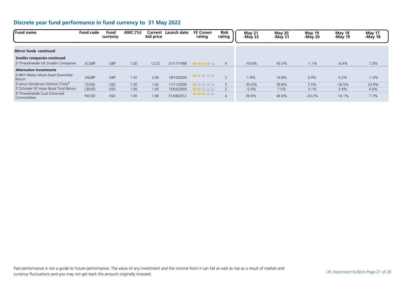| <b>Fund name</b>                                | <b>Fund code</b>               | Fund<br>currency | AMC (%) | Current<br>bid price | Launch date | <b>FE Crown</b><br>rating                        | <b>Risk</b><br>rating | May 21<br>-May $22$ | May 20<br>$-May21$ | <b>May 19</b><br>$-May20$ | May 18<br>-May 19 | May 17<br>-May 18 |
|-------------------------------------------------|--------------------------------|------------------|---------|----------------------|-------------|--------------------------------------------------|-----------------------|---------------------|--------------------|---------------------------|-------------------|-------------------|
|                                                 |                                |                  |         |                      |             |                                                  |                       |                     |                    |                           |                   |                   |
| <b>Mirror funds continued</b>                   |                                |                  |         |                      |             |                                                  |                       |                     |                    |                           |                   |                   |
| <b>Smaller companies continued</b>              |                                |                  |         |                      |             |                                                  |                       |                     |                    |                           |                   |                   |
| ZI Threadneedle UK Smaller Companies            | <b>SCGBP</b>                   | GBP              | 1.00    | 12.22                | 01/11/1998  | <b>Management</b>                                | $\overline{4}$        | $-16.6%$            | 45.0%              | $-1.1%$                   | $-6.4%$           | 7.0%              |
| <b>Alternative investments</b>                  |                                |                  |         |                      |             |                                                  |                       |                     |                    |                           |                   |                   |
| ZI BNY Mellon Multi-Asset Diversified<br>Return | <b>LNGBP</b>                   | GBP              | 1.50    | 2.66                 | 18/10/2004  | <b>Ma</b> yay yay yay                            | $\mathcal{L}$         | 1.9%                | 16.8%              | 0.9%                      | 0.2%              | $-1.0%$           |
| ZI Janus Henderson Horizon China <sup>6</sup>   | T <sub>2</sub> U <sub>SD</sub> | <b>USD</b>       | 1.20    | 1.62                 | 11/11/2009  | <b>W</b> y the string of the                     | 5                     | $-35.6%$            | 39.8%              | 5.5%                      | $-18.5%$          | 23.9%             |
| ZI Schroder ISF Asian Bond Total Return         | <b>CBUSD</b>                   | <b>USD</b>       | 1.00    | 1.65                 | 15/03/2004  | <b>ww</b> www.                                   | $\overline{2}$        | $-5.9%$             | 7.5%               | 3.1%                      | 3.4%              | 0.6%              |
| ZI Threadneedle (Lux) Enhanced<br>Commodities   | 9XUSD                          | <b>USD</b>       | 1.00    | 1.96                 | 01/08/2012  | <b>Management of the Management of the State</b> | $\overline{4}$        | 39.6%               | 46.6%              | $-20.2%$                  | $-14.1%$          | 7.7%              |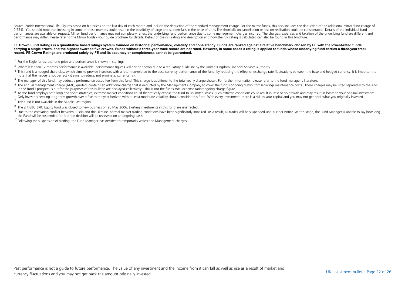Source: Zurich International Life. Figures based on bid prices on the last day of each month and include the deduction of the standard management charge. For the mirror funds, this also includes the deduction of the additi 0.75%. You should note that investing in some of these markets could result in the possibility of large and sudden falls in the price of units. The shortfalls on cancellation or loss on realisation could be considerable. D performances are available on request. Mirror fund performance may not completely reflect the underlying fund performance due to some management charges incurred. The charges expenses and taxation of the underlying fund ar performance may differ. Please refer to the Mirror funds - your guide brochure for details. Details of the risk rating and description and how the risk rating is calculated can also be found in this brochure.

#### FE Crown Fund Ratings is a quantitative based ratings system founded on historical performance, volatility and consistency. Funds are ranked against a relative benchmark chosen by FE with the lowest-rated funds **carrying a single crown, and the highest awarded five crowns. Funds without a three-year track record are not rated. However, in some cases a rating is applied to funds whose underlying fund carries a three-year track record. FE Crown Ratings are produced solely by FE and its accuracy or completeness cannot be guaranteed.**

- $1$  For the Eagle funds, the fund price and performance is shown in sterling.
- <sup>2</sup> Where less than 12 months performance is available, performance figures will not be shown due to a regulatory guideline by the United Kingdom Financial Services Authority.
- <sup>3</sup> This fund is a hedged share class which aims to provide investors with a return correlated to the base currency performance of the fund, by reducing the effect of exchange rate fluctuations between the base and hedged note that the hedge is not perfect - it aims to reduce, not eliminate, currency risk.
- <sup>4</sup> The manager of this fund may deduct a performance based fee from this fund. This charge is additional to the total yearly charge shown. For further information please refer to the fund manager's literature.
- <sup>5</sup> The annual management charge (AMC) quoted, contains an additional charge that is deducted by the Management Company to cover the fund's ongoing distributor/ servicing/ maintenance costs. These charges may be listed sep in the fund's prospectus but for the purposes of this bulletin are displayed collectively. This is not the funds total expense ratio/ongoing charge figure.
- <sup>6</sup> As the fund employs both long and short strategies, extreme market conditions could theoretically expose the fund to unlimited losses. Such extreme conditions could result in little or no growth and may result in losse Only investors seeking long-term growth over a five to ten year horizon with at least moderate volatility should consider this fund. With every investment, there is a risk to your capital and you may not get back what you
- $<sup>7</sup>$  This fund is not available in the Middle East region.</sup>
- <sup>8</sup> The ZI HSBC BRIC Equity fund was closed to new business on 26 May 2006. Existing investments in this fund are unaffected.
- <sup>9</sup> Due to the escalating conflict between Russia and the Ukraine, normal market trading conditions have been significantly impaired. As a result, all trades will be suspended until further notice. At this stage, the Fund the Fund will be suspended for, but the decision will be reviewed on an ongoing basis.
- $10$ Following the suspension of trading, the Fund Manager has decided to temporarily waiver the Management charges.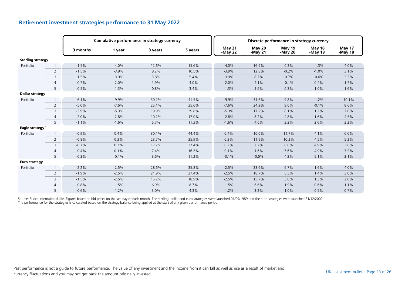|                             |                |          |         | Cumulative performance in strategy currency |         |                     |                   | Discrete performance in strategy currency |                   |                   |
|-----------------------------|----------------|----------|---------|---------------------------------------------|---------|---------------------|-------------------|-------------------------------------------|-------------------|-------------------|
|                             |                | 3 months | 1 year  | 3 years                                     | 5 years | May 21<br>-May $22$ | May 20<br>-May 21 | May 19<br>-May 20                         | May 18<br>-May 19 | May 17<br>-May 18 |
| <b>Sterling strategy</b>    |                |          |         |                                             |         |                     |                   |                                           |                   |                   |
| Portfolio                   |                | $-1.5%$  | $-4.0%$ | 12.6%                                       | 15.6%   | $-4.0%$             | 16.9%             | 0.3%                                      | $-1.3%$           | 4.0%              |
|                             | $\overline{2}$ | $-1.5%$  | $-3.9%$ | 8.2%                                        | 10.5%   | $-3.9%$             | 12.8%             | $-0.2%$                                   | $-1.0%$           | 3.1%              |
|                             | 3              | $-1.5%$  | $-3.9%$ | 3.8%                                        | 5.4%    | $-3.9%$             | 8.7%              | $-0.7%$                                   | $-0.6%$           | 2.2%              |
|                             | $\overline{4}$ | $-0.7%$  | $-2.0%$ | 1.9%                                        | 4.0%    | $-2.0%$             | 4.1%              | $-0.1%$                                   | 0.4%              | 1.7%              |
|                             | 5              | $-0.5%$  | $-1.3%$ | 0.8%                                        | 3.4%    | $-1.3%$             | 1.9%              | 0.3%                                      | 1.0%              | 1.6%              |
| <b>Dollar strategy</b>      |                |          |         |                                             |         |                     |                   |                                           |                   |                   |
| Portfolio                   |                | $-6.1%$  | $-9.9%$ | 30.2%                                       | 41.5%   | $-9.9%$             | 31.6%             | 9.8%                                      | $-1.2%$           | 10.1%             |
|                             | $\overline{2}$ | $-5.0%$  | $-7.6%$ | 25.1%                                       | 35.6%   | $-7.6%$             | 24.2%             | 9.0%                                      | $-0.1%$           | 8.6%              |
|                             | 3              | $-3.9%$  | $-5.3%$ | 19.9%                                       | 29.8%   | $-5.3%$             | 17.2%             | 8.1%                                      | 1.2%              | 7.0%              |
|                             | $\overline{4}$ | $-2.0%$  | $-2.8%$ | 10.2%                                       | 17.0%   | $-2.8%$             | 8.2%              | 4.8%                                      | 1.6%              | 4.5%              |
|                             | 5              | $-1.1%$  | $-1.6%$ | 5.7%                                        | 11.3%   | $-1.6%$             | 4.0%              | 3.2%                                      | 2.0%              | 3.2%              |
| Eagle strategy <sup>1</sup> |                |          |         |                                             |         |                     |                   |                                           |                   |                   |
| Portfolio                   |                | $-0.9%$  | 0.4%    | 30.1%                                       | 44.4%   | 0.4%                | 16.0%             | 11.7%                                     | 4.1%              | 6.6%              |
|                             | $\overline{2}$ | $-0.8%$  | 0.3%    | 23.7%                                       | 35.9%   | 0.3%                | 11.9%             | 10.2%                                     | 4.5%              | 5.2%              |
|                             | 3              | $-0.7%$  | 0.2%    | 17.2%                                       | 27.4%   | 0.2%                | 7.7%              | 8.6%                                      | 4.9%              | 3.6%              |
|                             | $\overline{4}$ | $-0.4%$  | 0.1%    | 7.4%                                        | 16.2%   | 0.1%                | 1.6%              | 5.6%                                      | 4.9%              | 3.2%              |
|                             | 5              | $-0.3%$  | $-0.1%$ | 3.6%                                        | 11.2%   | $-0.1%$             | $-0.5%$           | 4.2%                                      | 5.1%              | 2.1%              |
| <b>Euro strategy</b>        |                |          |         |                                             |         |                     |                   |                                           |                   |                   |
| Portfolio                   |                | $-2.2%$  | $-2.5%$ | 28.6%                                       | 35.8%   | $-2.5%$             | 23.6%             | 6.7%                                      | 1.6%              | 4.0%              |
|                             | $\overline{2}$ | $-1.9%$  | $-2.5%$ | 21.9%                                       | 27.4%   | $-2.5%$             | 18.7%             | 5.3%                                      | 1.4%              | 3.0%              |
|                             | 3              | $-1.5%$  | $-2.5%$ | 15.2%                                       | 18.9%   | $-2.5%$             | 13.7%             | 3.8%                                      | 1.3%              | 2.0%              |
|                             | $\overline{4}$ | $-0.8%$  | $-1.5%$ | 6.9%                                        | 8.7%    | $-1.5%$             | 6.6%              | 1.9%                                      | 0.6%              | 1.1%              |
|                             | 5              | $-0.6%$  | $-1.2%$ | 3.0%                                        | 4.3%    | $-1.2%$             | 3.2%              | 1.0%                                      | 0.5%              | 0.7%              |

#### **Retirement investment strategies performance to 31 May 2022**

1

Source: Zurich International Life. Figures based on bid prices on the last day of each month. The sterling, dollar and euro strategies were launched 01/09/1989 and the euro strategies were launched 31/12/2002.<br>The performa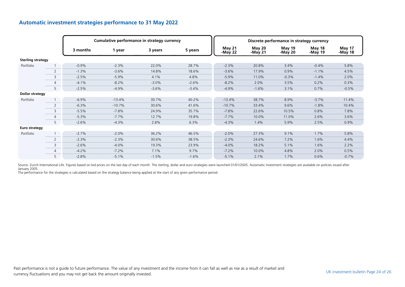|                          |                |          |          | Cumulative performance in strategy currency |         |                          |                                | Discrete performance in strategy currency |                   |                          |
|--------------------------|----------------|----------|----------|---------------------------------------------|---------|--------------------------|--------------------------------|-------------------------------------------|-------------------|--------------------------|
|                          |                | 3 months | 1 year   | 3 years                                     | 5 years | <b>May 21</b><br>-May 22 | May <sub>20</sub><br>-May $21$ | <b>May 19</b><br>-May 20                  | May 18<br>-May 19 | <b>May 17</b><br>-May 18 |
| <b>Sterling strategy</b> |                |          |          |                                             |         |                          |                                |                                           |                   |                          |
| Portfolio                |                | $-0.9%$  | $-2.3%$  | 22.0%                                       | 28.7%   | $-2.3%$                  | 20.8%                          | 3.4%                                      | $-0.4%$           | 5.8%                     |
|                          | 2              | $-1.3%$  | $-3.6%$  | 14.8%                                       | 18.6%   | $-3.6%$                  | 17.9%                          | 0.9%                                      | $-1.1%$           | 4.5%                     |
|                          | 3              | $-2.5%$  | $-5.9%$  | 4.1%                                        | 4.8%    | $-5.9\%$                 | 11.0%                          | $-0.3%$                                   | $-1.4%$           | 2.0%                     |
|                          | $\overline{4}$ | $-4.1%$  | $-8.2%$  | $-3.0%$                                     | $-2.6%$ | $-8.2%$                  | 2.0%                           | 3.5%                                      | 0.2%              | 0.3%                     |
|                          | 5              | $-2.5%$  | $-4.9%$  | $-3.6%$                                     | $-3.4%$ | $-4.9%$                  | $-1.6%$                        | 3.1%                                      | 0.7%              | $-0.5%$                  |
| <b>Dollar strategy</b>   |                |          |          |                                             |         |                          |                                |                                           |                   |                          |
| Portfolio                |                | $-6.9%$  | $-13.4%$ | 30.7%                                       | 40.2%   | $-13.4%$                 | 38.7%                          | 8.9%                                      | $-3.7%$           | 11.4%                    |
|                          | $\overline{2}$ | $-6.3%$  | $-10.7%$ | 30.6%                                       | 41.6%   | $-10.7%$                 | 33.4%                          | 9.6%                                      | $-1.8%$           | 10.4%                    |
|                          | $\overline{3}$ | $-5.5%$  | $-7.8%$  | 24.9%                                       | 35.7%   | $-7.8%$                  | 22.6%                          | 10.5%                                     | 0.8%              | 7.8%                     |
|                          | $\overline{4}$ | $-5.3%$  | $-7.7%$  | 12.7%                                       | 19.8%   | $-7.7%$                  | 10.0%                          | 11.0%                                     | 2.6%              | 3.6%                     |
|                          | 5 <sup>1</sup> | $-2.6%$  | $-4.3%$  | 2.8%                                        | 6.3%    | $-4.3%$                  | 1.4%                           | 5.9%                                      | 2.5%              | 0.9%                     |
| Euro strategy            |                |          |          |                                             |         |                          |                                |                                           |                   |                          |
| Portfolio                |                | $-2.7%$  | $-2.0%$  | 36.2%                                       | 46.5%   | $-2.0%$                  | 27.3%                          | 9.1%                                      | 1.7%              | 5.8%                     |
|                          | 2              | $-2.3%$  | $-2.3%$  | 30.6%                                       | 38.5%   | $-2.3%$                  | 24.6%                          | 7.2%                                      | 1.6%              | 4.4%                     |
|                          | 3              | $-2.6%$  | $-4.0%$  | 19.3%                                       | 23.9%   | $-4.0%$                  | 18.2%                          | 5.1%                                      | 1.6%              | 2.2%                     |
|                          | 4              | $-4.2%$  | $-7.2%$  | 7.1%                                        | 9.7%    | $-7.2%$                  | 10.0%                          | 4.8%                                      | 2.0%              | 0.5%                     |
|                          | 5              | $-2.8%$  | $-5.1%$  | $-1.5%$                                     | $-1.6%$ | $-5.1%$                  | 2.1%                           | 1.7%                                      | 0.6%              | $-0.7%$                  |

#### **Automatic investment strategies performance to 31 May 2022**

Source: Zurich International Life. Figures based on bid prices on the last day of each month. The sterling, dollar and euro strategies were launched 01/01/2005. Automatic investment strategies are available on policies iss January 2005.

The performance for the strategies is calculated based on the strategy balance being applied at the start of any given performance period.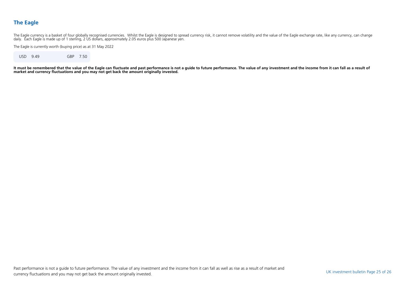### **The Eagle**

The Eagle currency is a basket of four globally recognised currencies. Whilst the Eagle is designed to spread currency risk, it cannot remove volatility and the value of the Eagle exchange rate, like any currency, can cha

The Eagle is currently worth (buying price) as at 31 May 2022

USD 9.49 GBP 7.50

**It must be remembered that the value of the Eagle can fluctuate and past performance is not a guide to future performance. The value of any investment and the income from it can fall as a result of market and currency fluctuations and you may not get back the amount originally invested.**